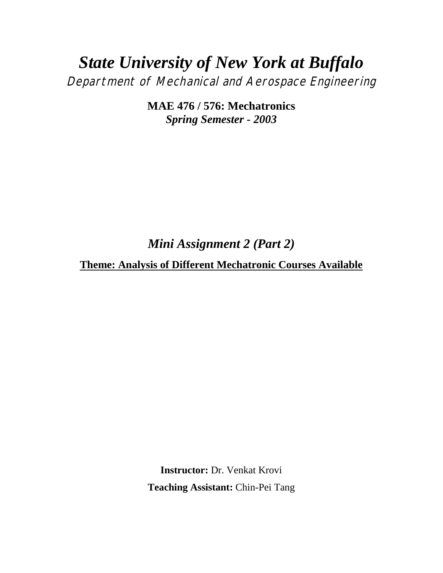### *State University of New York at Buffalo*  Department of Mechanical and Aerospace Engineering

**MAE 476 / 576: Mechatronics**  *Spring Semester - 2003* 

*Mini Assignment 2 (Part 2)* 

**Theme: Analysis of Different Mechatronic Courses Available**

**Instructor:** Dr. Venkat Krovi **Teaching Assistant:** Chin-Pei Tang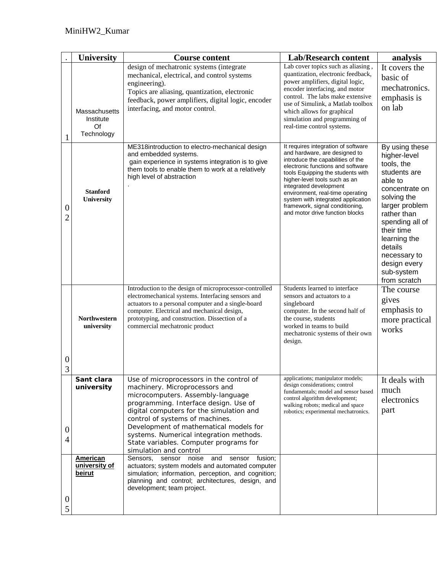|                                    | University<br><b>Course content</b>               |                                                                                                                                                                                                                                                                                                                                                                                                  | <b>Lab/Research content</b>                                                                                                                                                                                                                                                                                                                                                                    | analysis                                                                                                                                                                                                                                                            |
|------------------------------------|---------------------------------------------------|--------------------------------------------------------------------------------------------------------------------------------------------------------------------------------------------------------------------------------------------------------------------------------------------------------------------------------------------------------------------------------------------------|------------------------------------------------------------------------------------------------------------------------------------------------------------------------------------------------------------------------------------------------------------------------------------------------------------------------------------------------------------------------------------------------|---------------------------------------------------------------------------------------------------------------------------------------------------------------------------------------------------------------------------------------------------------------------|
| $\mathbf{1}$                       | Massachusetts<br>Institute<br>Of<br>Technology    | design of mechatronic systems (integrate<br>mechanical, electrical, and control systems<br>engineering).<br>Topics are aliasing, quantization, electronic<br>feedback, power amplifiers, digital logic, encoder<br>interfacing, and motor control.                                                                                                                                               | Lab cover topics such as aliasing,<br>quantization, electronic feedback,<br>power amplifiers, digital logic,<br>encoder interfacing, and motor<br>control. The labs make extensive<br>use of Simulink, a Matlab toolbox<br>which allows for graphical<br>simulation and programming of<br>real-time control systems.                                                                           | It covers the<br>basic of<br>mechatronics.<br>emphasis is<br>on lab                                                                                                                                                                                                 |
| $\boldsymbol{0}$<br>$\overline{c}$ | <b>Stanford</b><br>University                     | ME318introduction to electro-mechanical design<br>and embedded systems.<br>gain experience in systems integration is to give<br>them tools to enable them to work at a relatively<br>high level of abstraction                                                                                                                                                                                   | It requires integration of software<br>and hardware, are designed to<br>introduce the capabilities of the<br>electronic functions and software<br>tools Equipping the students with<br>higher-level tools such as an<br>integrated development<br>environment, real-time operating<br>system with integrated application<br>framework, signal conditioning,<br>and motor drive function blocks | By using these<br>higher-level<br>tools, the<br>students are<br>able to<br>concentrate on<br>solving the<br>larger problem<br>rather than<br>spending all of<br>their time<br>learning the<br>details<br>necessary to<br>design every<br>sub-system<br>from scratch |
| $\boldsymbol{0}$<br>3              | <b>Northwestern</b><br>university                 | Introduction to the design of microprocessor-controlled<br>electromechanical systems. Interfacing sensors and<br>actuators to a personal computer and a single-board<br>computer. Electrical and mechanical design,<br>prototyping, and construction. Dissection of a<br>commercial mechatronic product                                                                                          | Students learned to interface<br>sensors and actuators to a<br>singleboard<br>computer. In the second half of<br>the course, students<br>worked in teams to build<br>mechatronic systems of their own<br>design.                                                                                                                                                                               | The course<br>gives<br>emphasis to<br>more practical<br>works                                                                                                                                                                                                       |
| $\theta$<br>4                      | Sant clara<br>university                          | Use of microprocessors in the control of<br>machinery. Microprocessors and<br>microcomputers. Assembly-language<br>programming. Interface design. Use of<br>digital computers for the simulation and<br>control of systems of machines.<br>Development of mathematical models for<br>systems. Numerical integration methods.<br>State variables. Computer programs for<br>simulation and control | applications; manipulator models;<br>design considerations; control<br>fundamentals; model and sensor based<br>control algorithm development;<br>walking robots; medical and space<br>robotics; experimental mechatronics.                                                                                                                                                                     | It deals with<br>much<br>electronics<br>part                                                                                                                                                                                                                        |
| $\boldsymbol{0}$<br>5              | <b>American</b><br>university of<br><u>beirut</u> | Sensors,<br>sensor noise<br>and<br>sensor<br>fusion;<br>actuators; system models and automated computer<br>simulation; information, perception, and cognition;<br>planning and control; architectures, design, and<br>development; team project.                                                                                                                                                 |                                                                                                                                                                                                                                                                                                                                                                                                |                                                                                                                                                                                                                                                                     |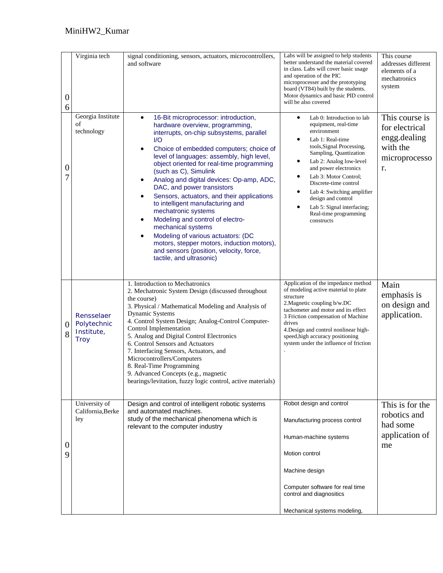| $\boldsymbol{0}$<br>6 | Virginia tech                                          | signal conditioning, sensors, actuators, microcontrollers,<br>and software                                                                                                                                                                                                                                                                                                                                                                                                                                                                                                                                                                                                                                                                                     | Labs will be assigned to help students<br>better understand the material covered<br>in class. Labs will cover basic usage<br>and operation of the PIC<br>microprocesser and the prototyping<br>board (VT84) built by the students.<br>Motor dynamics and basic PID control<br>will be also covered                                                                                                                                                        | This course<br>addresses different<br>elements of a<br>mechatronics<br>system       |
|-----------------------|--------------------------------------------------------|----------------------------------------------------------------------------------------------------------------------------------------------------------------------------------------------------------------------------------------------------------------------------------------------------------------------------------------------------------------------------------------------------------------------------------------------------------------------------------------------------------------------------------------------------------------------------------------------------------------------------------------------------------------------------------------------------------------------------------------------------------------|-----------------------------------------------------------------------------------------------------------------------------------------------------------------------------------------------------------------------------------------------------------------------------------------------------------------------------------------------------------------------------------------------------------------------------------------------------------|-------------------------------------------------------------------------------------|
| $\theta$<br>7         | Georgia Institute<br>of<br>technology                  | 16-Bit microprocessor: introduction,<br>$\bullet$<br>hardware overview, programming,<br>interrupts, on-chip subsystems, parallel<br>1/O<br>Choice of embedded computers; choice of<br>$\bullet$<br>level of languages: assembly, high level,<br>object oriented for real-time programming<br>(such as C), Simulink<br>Analog and digital devices: Op-amp, ADC,<br>٠<br>DAC, and power transistors<br>Sensors, actuators, and their applications<br>$\bullet$<br>to intelligent manufacturing and<br>mechatronic systems<br>Modeling and control of electro-<br>٠<br>mechanical systems<br>Modeling of various actuators: (DC<br>$\bullet$<br>motors, stepper motors, induction motors),<br>and sensors (position, velocity, force,<br>tactile, and ultrasonic) | Lab 0: Introduction to lab<br>$\bullet$<br>equipment, real-time<br>environment<br>Lab 1: Real-time<br>$\bullet$<br>tools, Signal Processing,<br>Sampling, Quantization<br>Lab 2: Analog low-level<br>$\bullet$<br>and power electronics<br>Lab 3: Motor Control;<br>$\bullet$<br>Discrete-time control<br>Lab 4: Switching amplifier<br>$\bullet$<br>design and control<br>Lab 5: Signal interfacing;<br>$\bullet$<br>Real-time programming<br>constructs | This course is<br>for electrical<br>engg.dealing<br>with the<br>microprocesso<br>r. |
| $\overline{0}$<br>8   | Rensselaer<br>Polytechnic<br>Institute,<br><b>Troy</b> | 1. Introduction to Mechatronics<br>2. Mechatronic System Design (discussed throughout<br>the course)<br>3. Physical / Mathematical Modeling and Analysis of<br><b>Dynamic Systems</b><br>4. Control System Design; Analog-Control Computer-<br>Control Implementation<br>5. Analog and Digital Control Electronics<br>6. Control Sensors and Actuators<br>7. Interfacing Sensors, Actuators, and<br>Microcontrollers/Computers<br>8. Real-Time Programming<br>9. Advanced Concepts (e.g., magnetic<br>bearings/levitation, fuzzy logic control, active materials)                                                                                                                                                                                              | Application of the impedance method<br>of modeling active material to plate<br>structure<br>2. Magnetic coupling b/w.DC<br>tachometer and motor and its effect<br>3 Friction compensation of Machine<br>drives<br>4. Design and control nonlinear high-<br>speed, high accuracy positioning<br>system under the influence of friction                                                                                                                     | Main<br>emphasis is<br>on design and<br>application.                                |
|                       | University of<br>California, Berke<br>ley              | Design and control of intelligent robotic systems<br>and automated machines.<br>study of the mechanical phenomena which is<br>relevant to the computer industry                                                                                                                                                                                                                                                                                                                                                                                                                                                                                                                                                                                                | Robot design and control<br>Manufacturing process control<br>Human-machine systems                                                                                                                                                                                                                                                                                                                                                                        | This is for the<br>robotics and<br>had some<br>application of                       |
| $\overline{0}$<br>9   |                                                        |                                                                                                                                                                                                                                                                                                                                                                                                                                                                                                                                                                                                                                                                                                                                                                | Motion control                                                                                                                                                                                                                                                                                                                                                                                                                                            | me                                                                                  |
|                       |                                                        |                                                                                                                                                                                                                                                                                                                                                                                                                                                                                                                                                                                                                                                                                                                                                                | Machine design                                                                                                                                                                                                                                                                                                                                                                                                                                            |                                                                                     |
|                       |                                                        |                                                                                                                                                                                                                                                                                                                                                                                                                                                                                                                                                                                                                                                                                                                                                                | Computer software for real time<br>control and diagnositics                                                                                                                                                                                                                                                                                                                                                                                               |                                                                                     |
|                       |                                                        |                                                                                                                                                                                                                                                                                                                                                                                                                                                                                                                                                                                                                                                                                                                                                                | Mechanical systems modeling,                                                                                                                                                                                                                                                                                                                                                                                                                              |                                                                                     |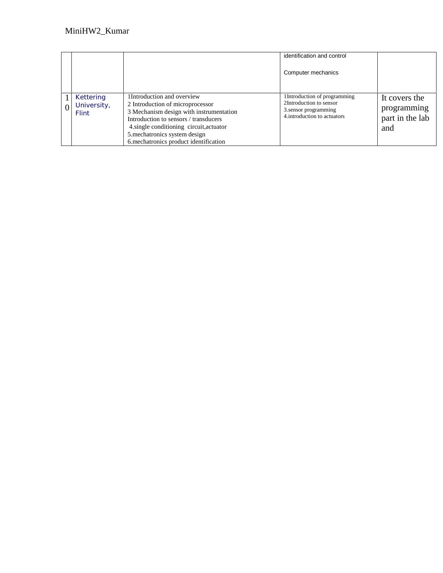|                                   |                                                                                                                                                                                                                                                                          | identification and control<br>Computer mechanics                                                                 |                                                        |
|-----------------------------------|--------------------------------------------------------------------------------------------------------------------------------------------------------------------------------------------------------------------------------------------------------------------------|------------------------------------------------------------------------------------------------------------------|--------------------------------------------------------|
| Kettering<br>University,<br>Flint | 1Introduction and overview<br>2 Introduction of microprocessor<br>3 Mechanism design with instrumentation<br>Introduction to sensors / transducers<br>4. single conditioning circuit, actuator<br>5. mechatronics system design<br>6.mechatronics product identification | 1Introduction of programming<br>2Introduction to sensor<br>3. sensor programming<br>4. introduction to actuators | It covers the<br>programming<br>part in the lab<br>and |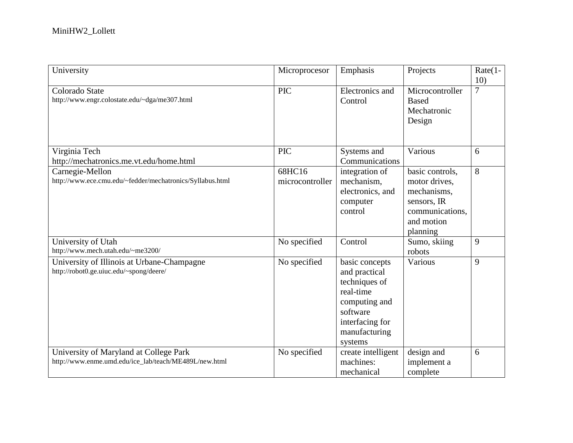| University                                                                                      | Microprocesor             | Emphasis                                                                                                                                  | Projects                                                                                                    | Rate(1-<br>10) |
|-------------------------------------------------------------------------------------------------|---------------------------|-------------------------------------------------------------------------------------------------------------------------------------------|-------------------------------------------------------------------------------------------------------------|----------------|
| Colorado State<br>http://www.engr.colostate.edu/~dga/me307.html                                 | <b>PIC</b>                | Electronics and<br>Control                                                                                                                | Microcontroller<br><b>Based</b><br>Mechatronic<br>Design                                                    | $\overline{7}$ |
| Virginia Tech<br>http://mechatronics.me.vt.edu/home.html                                        | <b>PIC</b>                | Systems and<br>Communications                                                                                                             | Various                                                                                                     | 6              |
| Carnegie-Mellon<br>http://www.ece.cmu.edu/~fedder/mechatronics/Syllabus.html                    | 68HC16<br>microcontroller | integration of<br>mechanism,<br>electronics, and<br>computer<br>control                                                                   | basic controls,<br>motor drives,<br>mechanisms,<br>sensors, IR<br>communications,<br>and motion<br>planning | 8              |
| University of Utah<br>http://www.mech.utah.edu/~me3200/                                         | No specified              | Control                                                                                                                                   | Sumo, skiing<br>robots                                                                                      | 9              |
| University of Illinois at Urbane-Champagne<br>http://robot0.ge.uiuc.edu/~spong/deere/           | No specified              | basic concepts<br>and practical<br>techniques of<br>real-time<br>computing and<br>software<br>interfacing for<br>manufacturing<br>systems | Various                                                                                                     | 9              |
| University of Maryland at College Park<br>http://www.enme.umd.edu/ice_lab/teach/ME489L/new.html | No specified              | create intelligent<br>machines:<br>mechanical                                                                                             | design and<br>implement a<br>complete                                                                       | 6              |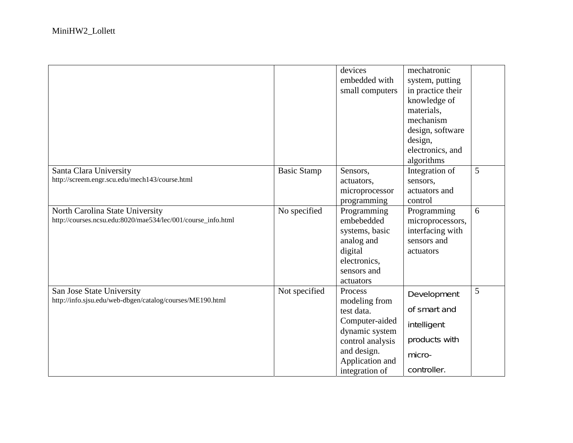|                                                              |                    | devices          | mechatronic       |                 |
|--------------------------------------------------------------|--------------------|------------------|-------------------|-----------------|
|                                                              |                    | embedded with    | system, putting   |                 |
|                                                              |                    | small computers  | in practice their |                 |
|                                                              |                    |                  | knowledge of      |                 |
|                                                              |                    |                  | materials,        |                 |
|                                                              |                    |                  | mechanism         |                 |
|                                                              |                    |                  | design, software  |                 |
|                                                              |                    |                  | design,           |                 |
|                                                              |                    |                  | electronics, and  |                 |
|                                                              |                    |                  | algorithms        |                 |
| Santa Clara University                                       | <b>Basic Stamp</b> | Sensors,         | Integration of    | $5\overline{)}$ |
| http://screem.engr.scu.edu/mech143/course.html               |                    | actuators,       | sensors,          |                 |
|                                                              |                    | microprocessor   | actuators and     |                 |
|                                                              |                    | programming      | control           |                 |
| North Carolina State University                              | No specified       | Programming      | Programming       | 6               |
| http://courses.ncsu.edu:8020/mae534/lec/001/course_info.html |                    | embebedded       | microprocessors,  |                 |
|                                                              |                    | systems, basic   | interfacing with  |                 |
|                                                              |                    | analog and       | sensors and       |                 |
|                                                              |                    | digital          | actuators         |                 |
|                                                              |                    | electronics,     |                   |                 |
|                                                              |                    | sensors and      |                   |                 |
|                                                              |                    | actuators        |                   |                 |
| San Jose State University                                    | Not specified      | Process          | Development       | 5               |
| http://info.sjsu.edu/web-dbgen/catalog/courses/ME190.html    |                    | modeling from    |                   |                 |
|                                                              |                    | test data.       | of smart and      |                 |
|                                                              |                    | Computer-aided   | intelligent       |                 |
|                                                              |                    | dynamic system   |                   |                 |
|                                                              |                    | control analysis | products with     |                 |
|                                                              |                    | and design.      | micro-            |                 |
|                                                              |                    | Application and  |                   |                 |
|                                                              |                    | integration of   | controller.       |                 |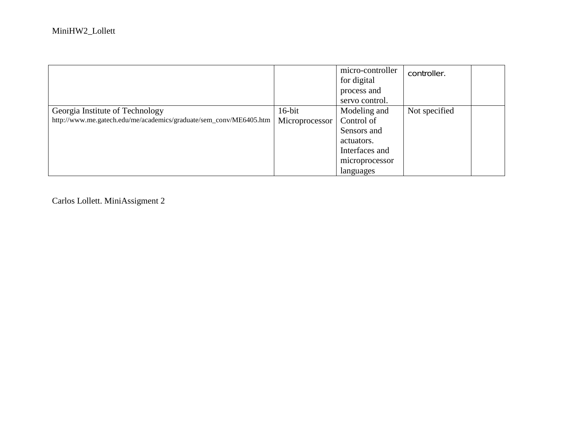|                                                                                                       |                             | micro-controller<br>for digital<br>process and<br>servo control.                                         | controller.   |
|-------------------------------------------------------------------------------------------------------|-----------------------------|----------------------------------------------------------------------------------------------------------|---------------|
| Georgia Institute of Technology<br>http://www.me.gatech.edu/me/academics/graduate/sem_conv/ME6405.htm | $16$ -bit<br>Microprocessor | Modeling and<br>Control of<br>Sensors and<br>actuators.<br>Interfaces and<br>microprocessor<br>languages | Not specified |

Carlos Lollett. MiniAssigment 2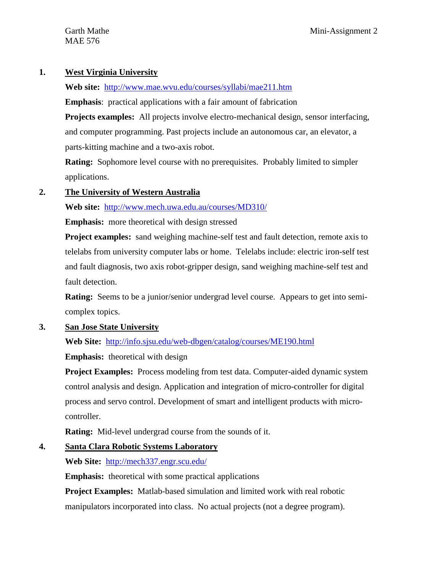### **1. West Virginia University**

**Web site:** <http://www.mae.wvu.edu/courses/syllabi/mae211.htm>

**Emphasis**: practical applications with a fair amount of fabrication

**Projects examples:** All projects involve electro-mechanical design, sensor interfacing, and computer programming. Past projects include an autonomous car, an elevator, a parts-kitting machine and a two-axis robot.

**Rating:** Sophomore level course with no prerequisites. Probably limited to simpler applications.

### **2. The University of Western Australia**

**Web site:** <http://www.mech.uwa.edu.au/courses/MD310/>

**Emphasis:** more theoretical with design stressed

**Project examples:** sand weighing machine-self test and fault detection, remote axis to telelabs from university computer labs or home. Telelabs include: electric iron-self test and fault diagnosis, two axis robot-gripper design, sand weighing machine-self test and fault detection.

**Rating:** Seems to be a junior/senior undergrad level course. Appears to get into semicomplex topics.

### **3. San Jose State University**

### **Web Site:** <http://info.sjsu.edu/web-dbgen/catalog/courses/ME190.html>

**Emphasis:** theoretical with design

**Project Examples:** Process modeling from test data. Computer-aided dynamic system control analysis and design. Application and integration of micro-controller for digital process and servo control. Development of smart and intelligent products with microcontroller.

**Rating:** Mid-level undergrad course from the sounds of it.

### **4. Santa Clara Robotic Systems Laboratory**

**Web Site:** [http://mech337.engr.scu.edu/](http://rsl.engr.scu.edu/NewWeb/Courses/courses.htm)

**Emphasis:** theoretical with some practical applications

**Project Examples:** Matlab-based simulation and limited work with real robotic manipulators incorporated into class.No actual projects (not a degree program).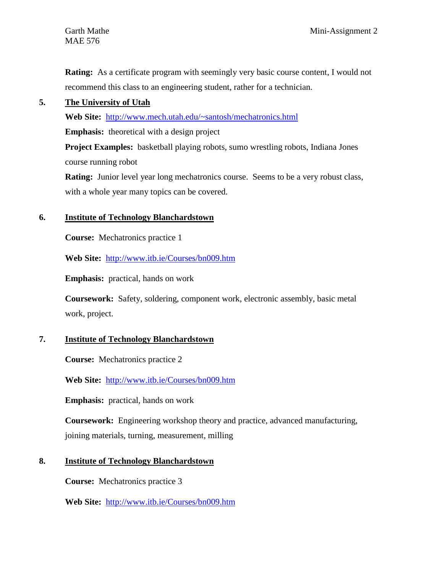**Rating:** As a certificate program with seemingly very basic course content, I would not recommend this class to an engineering student, rather for a technician.

### **5. The University of Utah**

**Web Site:** <http://www.mech.utah.edu/~santosh/mechatronics.html>

**Emphasis:** theoretical with a design project

**Project Examples:** basketball playing robots, sumo wrestling robots, Indiana Jones course running robot

**Rating:** Junior level year long mechatronics course. Seems to be a very robust class, with a whole year many topics can be covered.

### **6. Institute of Technology Blanchardstown**

**Course:** Mechatronics practice 1

**Web Site:** <http://www.itb.ie/Courses/bn009.htm>

**Emphasis:** practical, hands on work

 **Coursework:** Safety, soldering, component work, electronic assembly, basic metal work, project.

### **7. Institute of Technology Blanchardstown**

**Course:** Mechatronics practice 2

**Web Site:** <http://www.itb.ie/Courses/bn009.htm>

**Emphasis:** practical, hands on work

 **Coursework:** Engineering workshop theory and practice, advanced manufacturing, joining materials, turning, measurement, milling

### **8. Institute of Technology Blanchardstown**

**Course:** Mechatronics practice 3

**Web Site:** <http://www.itb.ie/Courses/bn009.htm>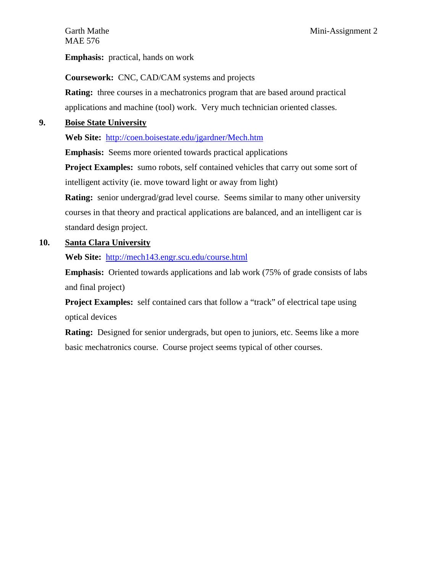MAE 576

### **Emphasis:** practical, hands on work

 **Coursework:** CNC, CAD/CAM systems and projects

**Rating:** three courses in a mechatronics program that are based around practical applications and machine (tool) work. Very much technician oriented classes.

### **9. Boise State University**

**Web Site:** <http://coen.boisestate.edu/jgardner/Mech.htm>

**Emphasis:** Seems more oriented towards practical applications

**Project Examples:** sumo robots, self contained vehicles that carry out some sort of intelligent activity (ie. move toward light or away from light)

**Rating:** senior undergrad/grad level course. Seems similar to many other university courses in that theory and practical applications are balanced, and an intelligent car is standard design project.

### **10. Santa Clara University**

**Web Site:** <http://mech143.engr.scu.edu/course.html>

**Emphasis:** Oriented towards applications and lab work (75% of grade consists of labs and final project)

**Project Examples:** self contained cars that follow a "track" of electrical tape using optical devices

**Rating:** Designed for senior undergrads, but open to juniors, etc. Seems like a more basic mechatronics course. Course project seems typical of other courses.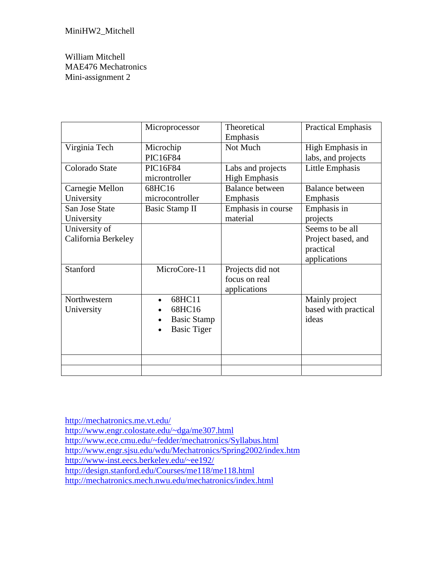William Mitchell MAE476 Mechatronics Mini-assignment 2

|                     | Microprocessor     | Theoretical            | <b>Practical Emphasis</b> |
|---------------------|--------------------|------------------------|---------------------------|
|                     |                    | Emphasis               |                           |
| Virginia Tech       | Microchip          | Not Much               | High Emphasis in          |
|                     | <b>PIC16F84</b>    |                        | labs, and projects        |
| Colorado State      | <b>PIC16F84</b>    | Labs and projects      | Little Emphasis           |
|                     | microntroller      | <b>High Emphasis</b>   |                           |
| Carnegie Mellon     | 68HC16             | <b>Balance between</b> | Balance between           |
| University          | microcontroller    | Emphasis               | Emphasis                  |
| San Jose State      | Basic Stamp II     | Emphasis in course     | Emphasis in               |
| University          |                    | material               | projects                  |
| University of       |                    |                        | Seems to be all           |
| California Berkeley |                    |                        | Project based, and        |
|                     |                    |                        | practical                 |
|                     |                    |                        | applications              |
| Stanford            | MicroCore-11       | Projects did not       |                           |
|                     |                    | focus on real          |                           |
|                     |                    | applications           |                           |
| Northwestern        | 68HC11             |                        | Mainly project            |
| University          | 68HC16             |                        | based with practical      |
|                     | <b>Basic Stamp</b> |                        | ideas                     |
|                     | <b>Basic Tiger</b> |                        |                           |
|                     |                    |                        |                           |
|                     |                    |                        |                           |
|                     |                    |                        |                           |
|                     |                    |                        |                           |

<http://mechatronics.me.vt.edu/> <http://www.engr.colostate.edu/~dga/me307.html> <http://www.ece.cmu.edu/~fedder/mechatronics/Syllabus.html> <http://www.engr.sjsu.edu/wdu/Mechatronics/Spring2002/index.htm> <http://www-inst.eecs.berkeley.edu/~ee192/> <http://design.stanford.edu/Courses/me118/me118.html> <http://mechatronics.mech.nwu.edu/mechatronics/index.html>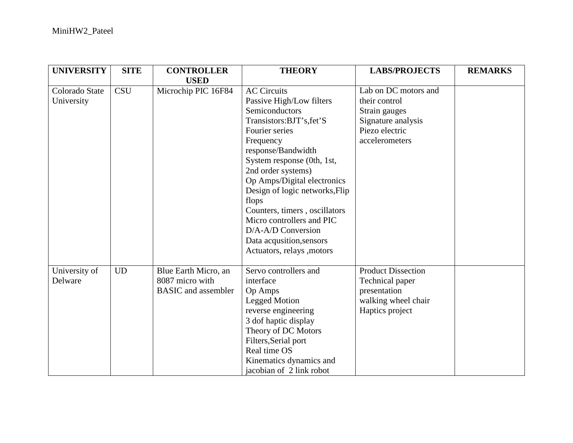| <b>UNIVERSITY</b> | <b>SITE</b> | <b>CONTROLLER</b>          | <b>THEORY</b>                  | <b>LABS/PROJECTS</b>      | <b>REMARKS</b> |
|-------------------|-------------|----------------------------|--------------------------------|---------------------------|----------------|
|                   |             | <b>USED</b>                |                                |                           |                |
| Colorado State    | <b>CSU</b>  | Microchip PIC 16F84        | <b>AC Circuits</b>             | Lab on DC motors and      |                |
| University        |             |                            | Passive High/Low filters       | their control             |                |
|                   |             |                            | Semiconductors                 | Strain gauges             |                |
|                   |             |                            | Transistors: BJT's, fet'S      | Signature analysis        |                |
|                   |             |                            | Fourier series                 | Piezo electric            |                |
|                   |             |                            | Frequency                      | accelerometers            |                |
|                   |             |                            | response/Bandwidth             |                           |                |
|                   |             |                            | System response (0th, 1st,     |                           |                |
|                   |             |                            | 2nd order systems)             |                           |                |
|                   |             |                            | Op Amps/Digital electronics    |                           |                |
|                   |             |                            | Design of logic networks, Flip |                           |                |
|                   |             |                            | flops                          |                           |                |
|                   |             |                            | Counters, timers, oscillators  |                           |                |
|                   |             |                            | Micro controllers and PIC      |                           |                |
|                   |             |                            | D/A-A/D Conversion             |                           |                |
|                   |             |                            | Data acqusition, sensors       |                           |                |
|                   |             |                            | Actuators, relays , motors     |                           |                |
|                   |             |                            |                                |                           |                |
| University of     | <b>UD</b>   | Blue Earth Micro, an       | Servo controllers and          | <b>Product Dissection</b> |                |
| Delware           |             | 8087 micro with            | interface                      | Technical paper           |                |
|                   |             | <b>BASIC</b> and assembler | Op Amps                        | presentation              |                |
|                   |             |                            | <b>Legged Motion</b>           | walking wheel chair       |                |
|                   |             |                            | reverse engineering            | Haptics project           |                |
|                   |             |                            | 3 dof haptic display           |                           |                |
|                   |             |                            | Theory of DC Motors            |                           |                |
|                   |             |                            | Filters, Serial port           |                           |                |
|                   |             |                            | Real time OS                   |                           |                |
|                   |             |                            | Kinematics dynamics and        |                           |                |
|                   |             |                            | jacobian of 2 link robot       |                           |                |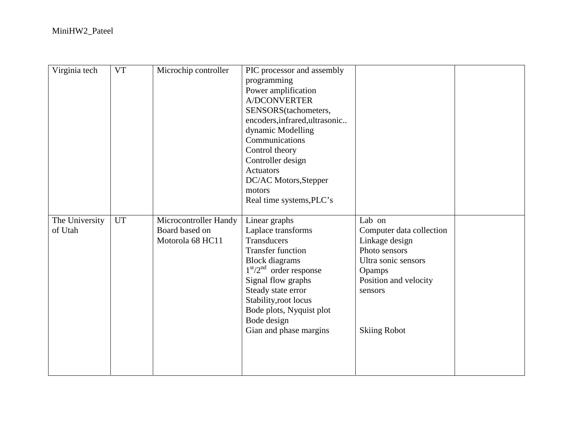| Virginia tech  | <b>VT</b>                  | Microchip controller  | PIC processor and assembly     |                          |  |
|----------------|----------------------------|-----------------------|--------------------------------|--------------------------|--|
|                |                            |                       | programming                    |                          |  |
|                |                            |                       | Power amplification            |                          |  |
|                |                            |                       | <b>A/DCONVERTER</b>            |                          |  |
|                |                            |                       | SENSORS(tachometers,           |                          |  |
|                |                            |                       | encoders, infrared, ultrasonic |                          |  |
|                |                            |                       | dynamic Modelling              |                          |  |
|                |                            |                       | Communications                 |                          |  |
|                |                            |                       | Control theory                 |                          |  |
|                |                            |                       | Controller design              |                          |  |
|                |                            |                       | Actuators                      |                          |  |
|                |                            |                       | DC/AC Motors, Stepper          |                          |  |
|                |                            |                       | motors                         |                          |  |
|                |                            |                       | Real time systems, PLC's       |                          |  |
|                |                            |                       |                                |                          |  |
| The University | $\ensuremath{\mathrm{UT}}$ | Microcontroller Handy | Linear graphs                  | Lab on                   |  |
| of Utah        |                            | Board based on        | Laplace transforms             | Computer data collection |  |
|                |                            | Motorola 68 HC11      | <b>Transducers</b>             | Linkage design           |  |
|                |                            |                       | <b>Transfer function</b>       | Photo sensors            |  |
|                |                            |                       | <b>Block</b> diagrams          | Ultra sonic sensors      |  |
|                |                            |                       | $1st/2nd$ order response       | Opamps                   |  |
|                |                            |                       | Signal flow graphs             | Position and velocity    |  |
|                |                            |                       | Steady state error             | sensors                  |  |
|                |                            |                       | Stability, root locus          |                          |  |
|                |                            |                       | Bode plots, Nyquist plot       |                          |  |
|                |                            |                       | Bode design                    |                          |  |
|                |                            |                       | Gian and phase margins         | <b>Skiing Robot</b>      |  |
|                |                            |                       |                                |                          |  |
|                |                            |                       |                                |                          |  |
|                |                            |                       |                                |                          |  |
|                |                            |                       |                                |                          |  |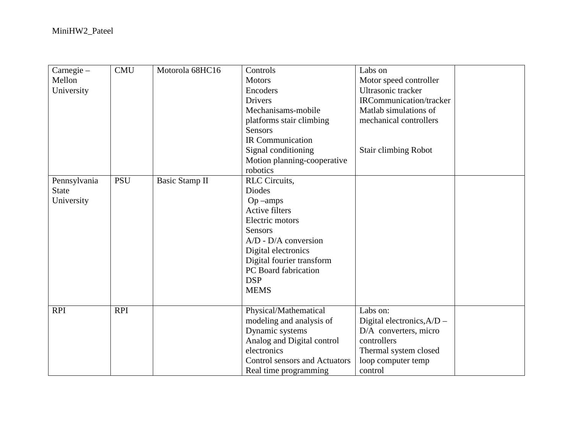| Carnegie-    | <b>CMU</b> | Motorola 68HC16       | Controls                             | Labs on                        |  |
|--------------|------------|-----------------------|--------------------------------------|--------------------------------|--|
| Mellon       |            |                       | <b>Motors</b>                        | Motor speed controller         |  |
| University   |            |                       | Encoders                             | Ultrasonic tracker             |  |
|              |            |                       | <b>Drivers</b>                       | <b>IRCommunication/tracker</b> |  |
|              |            |                       | Mechanisams-mobile                   | Matlab simulations of          |  |
|              |            |                       | platforms stair climbing             | mechanical controllers         |  |
|              |            |                       | <b>Sensors</b>                       |                                |  |
|              |            |                       | <b>IR Communication</b>              |                                |  |
|              |            |                       | Signal conditioning                  | Stair climbing Robot           |  |
|              |            |                       | Motion planning-cooperative          |                                |  |
|              |            |                       | robotics                             |                                |  |
| Pennsylvania | <b>PSU</b> | <b>Basic Stamp II</b> | RLC Circuits,                        |                                |  |
| <b>State</b> |            |                       | <b>Diodes</b>                        |                                |  |
| University   |            |                       | $Op -amps$                           |                                |  |
|              |            |                       | <b>Active filters</b>                |                                |  |
|              |            |                       | Electric motors                      |                                |  |
|              |            |                       | Sensors                              |                                |  |
|              |            |                       | $A/D - D/A$ conversion               |                                |  |
|              |            |                       | Digital electronics                  |                                |  |
|              |            |                       | Digital fourier transform            |                                |  |
|              |            |                       | PC Board fabrication                 |                                |  |
|              |            |                       | <b>DSP</b>                           |                                |  |
|              |            |                       | <b>MEMS</b>                          |                                |  |
|              |            |                       |                                      |                                |  |
| <b>RPI</b>   | <b>RPI</b> |                       | Physical/Mathematical                | Labs on:                       |  |
|              |            |                       | modeling and analysis of             | Digital electronics, $A/D -$   |  |
|              |            |                       | Dynamic systems                      | D/A converters, micro          |  |
|              |            |                       | Analog and Digital control           | controllers                    |  |
|              |            |                       | electronics                          | Thermal system closed          |  |
|              |            |                       | <b>Control sensors and Actuators</b> | loop computer temp             |  |
|              |            |                       | Real time programming                | control                        |  |
|              |            |                       |                                      |                                |  |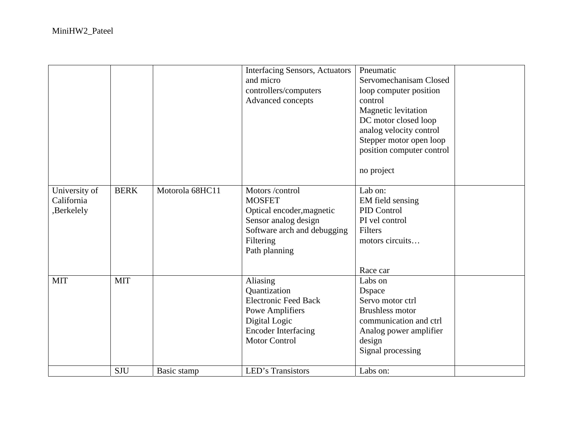|                                           |             |                 | <b>Interfacing Sensors, Actuators</b><br>and micro<br>controllers/computers<br>Advanced concepts                                                   | Pneumatic<br>Servomechanisam Closed<br>loop computer position<br>control<br><b>Magnetic</b> levitation<br>DC motor closed loop<br>analog velocity control<br>Stepper motor open loop<br>position computer control<br>no project |  |
|-------------------------------------------|-------------|-----------------|----------------------------------------------------------------------------------------------------------------------------------------------------|---------------------------------------------------------------------------------------------------------------------------------------------------------------------------------------------------------------------------------|--|
| University of<br>California<br>,Berkelely | <b>BERK</b> | Motorola 68HC11 | Motors /control<br><b>MOSFET</b><br>Optical encoder, magnetic<br>Sensor analog design<br>Software arch and debugging<br>Filtering<br>Path planning | Lab on:<br>EM field sensing<br>PID Control<br>PI vel control<br>Filters<br>motors circuits<br>Race car                                                                                                                          |  |
| <b>MIT</b>                                | <b>MIT</b>  |                 | Aliasing<br>Quantization<br><b>Electronic Feed Back</b><br>Powe Amplifiers<br>Digital Logic<br><b>Encoder Interfacing</b><br><b>Motor Control</b>  | Labs on<br><b>D</b> space<br>Servo motor ctrl<br><b>Brushless motor</b><br>communication and ctrl<br>Analog power amplifier<br>design<br>Signal processing                                                                      |  |
|                                           | <b>SJU</b>  | Basic stamp     | LED's Transistors                                                                                                                                  | Labs on:                                                                                                                                                                                                                        |  |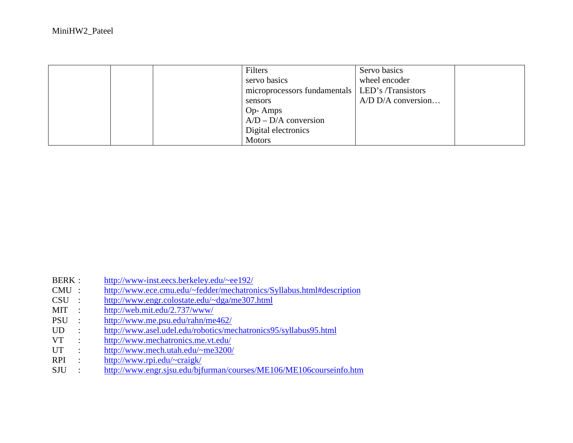|  | Filters                                           | Servo basics         |  |
|--|---------------------------------------------------|----------------------|--|
|  | servo basics                                      | wheel encoder        |  |
|  | microprocessors fundamentals   LED's /Transistors |                      |  |
|  | sensors                                           | $A/D$ D/A conversion |  |
|  | Op-Amps                                           |                      |  |
|  | $A/D - D/A$ conversion                            |                      |  |
|  | Digital electronics                               |                      |  |
|  | <b>Motors</b>                                     |                      |  |

- BERK : <http://www-inst.eecs.berkeley.edu/~ee192/><br>CMU : http://www.ece.cmu.edu/~fedder/mechatron
- [http://www.ece.cmu.edu/~fedder/mechatronics/Syllabus.html#description](http://www.ece.cmu.edu/~fedder/mechatronics/Syllabus.html)
- CSU : <http://www.engr.colostate.edu/~dga/me307.html><br>MIT : http://web.mit.edu/2.737/www/
- $\text{http://web.mit.edu/2.737/www/}$  $\text{http://web.mit.edu/2.737/www/}$  $\text{http://web.mit.edu/2.737/www/}$
- PSU : <http://www.me.psu.edu/rahn/me462/>
- UD : <http://www.asel.udel.edu/robotics/mechatronics95/syllabus95.html><br>VT : http://www.mechatronics.me.vt.edu/
- : [http://www.mechatronics.me.vt.edu/](http://mechatronics.me.vt.edu/syllabus.html)
- UT : <http://www.mech.utah.edu/~me3200/><br>RPI : http://www.rpi.edu/~craigk/
- 
- : <http://www.rpi.edu/~craigk/><br>http://www.engr.sjsu.edu/bjf SJU : <http://www.engr.sjsu.edu/bjfurman/courses/ME106/ME106courseinfo.htm>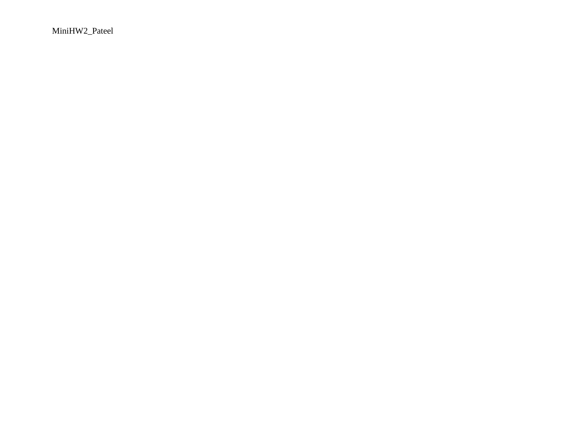MiniHW2\_Pateel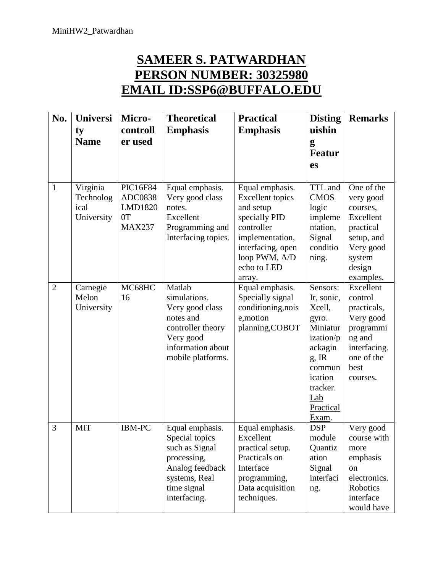### **SAMEER S. PATWARDHAN PERSON NUMBER: 30325980 EMAIL ID:SSP6@BUFFALO.EDU**

| No.            | <b>Universi</b>                             | Micro-                                                | <b>Theoretical</b>                                                                                                                    | <b>Practical</b>                                                                                                                                               | <b>Disting</b>                                                                                                                                          | <b>Remarks</b>                                                                                                            |
|----------------|---------------------------------------------|-------------------------------------------------------|---------------------------------------------------------------------------------------------------------------------------------------|----------------------------------------------------------------------------------------------------------------------------------------------------------------|---------------------------------------------------------------------------------------------------------------------------------------------------------|---------------------------------------------------------------------------------------------------------------------------|
|                | ty                                          | controll                                              | <b>Emphasis</b>                                                                                                                       | <b>Emphasis</b>                                                                                                                                                | uishin                                                                                                                                                  |                                                                                                                           |
|                | <b>Name</b>                                 | er used                                               |                                                                                                                                       |                                                                                                                                                                | g                                                                                                                                                       |                                                                                                                           |
|                |                                             |                                                       |                                                                                                                                       |                                                                                                                                                                | Featur                                                                                                                                                  |                                                                                                                           |
|                |                                             |                                                       |                                                                                                                                       |                                                                                                                                                                | es                                                                                                                                                      |                                                                                                                           |
|                |                                             |                                                       |                                                                                                                                       |                                                                                                                                                                |                                                                                                                                                         |                                                                                                                           |
| $\mathbf{1}$   | Virginia<br>Technolog<br>ical<br>University | PIC16F84<br>ADC0838<br>LMD1820<br>0T<br><b>MAX237</b> | Equal emphasis.<br>Very good class<br>notes.<br>Excellent<br>Programming and<br>Interfacing topics.                                   | Equal emphasis.<br><b>Excellent</b> topics<br>and setup<br>specially PID<br>controller<br>implementation,<br>interfacing, open<br>loop PWM, A/D<br>echo to LED | TTL and<br><b>CMOS</b><br>logic<br>impleme<br>ntation,<br>Signal<br>conditio<br>ning.                                                                   | One of the<br>very good<br>courses,<br>Excellent<br>practical<br>setup, and<br>Very good<br>system<br>design              |
|                |                                             |                                                       |                                                                                                                                       | array.                                                                                                                                                         |                                                                                                                                                         | examples.                                                                                                                 |
| $\overline{2}$ | Carnegie<br>Melon<br>University             | MC68HC<br>16                                          | Matlab<br>simulations.<br>Very good class<br>notes and<br>controller theory<br>Very good<br>information about<br>mobile platforms.    | Equal emphasis.<br>Specially signal<br>conditioning, nois<br>e, motion<br>planning, COBOT                                                                      | Sensors:<br>Ir, sonic,<br>Xcell,<br>gyro.<br>Miniatur<br>ization/p<br>ackagin<br>$g$ , IR<br>commun<br>ication<br>tracker.<br>Lab<br>Practical<br>Exam. | Excellent<br>control<br>practicals,<br>Very good<br>programmi<br>ng and<br>interfacing.<br>one of the<br>best<br>courses. |
| 3              | <b>MIT</b>                                  | <b>IBM-PC</b>                                         | Equal emphasis.<br>Special topics<br>such as Signal<br>processing,<br>Analog feedback<br>systems, Real<br>time signal<br>interfacing. | Equal emphasis.<br>Excellent<br>practical setup.<br>Practicals on<br>Interface<br>programming,<br>Data acquisition<br>techniques.                              | <b>DSP</b><br>module<br>Quantiz<br>ation<br>Signal<br>interfaci<br>ng.                                                                                  | Very good<br>course with<br>more<br>emphasis<br>on<br>electronics.<br>Robotics<br>interface<br>would have                 |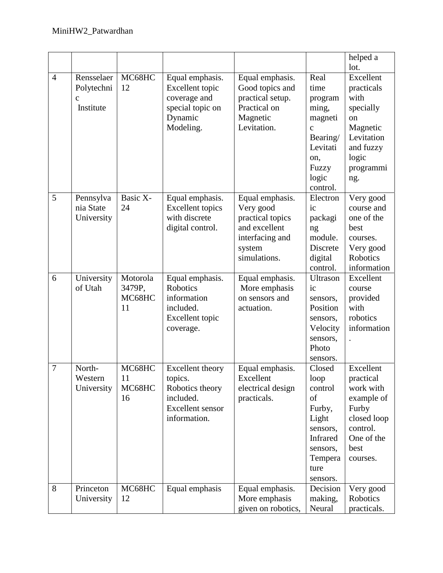|                |                                                      |                                    |                                                                                                 |                                                                                                                |                                                                                                                          | helped a<br>lot.                                                                                                        |
|----------------|------------------------------------------------------|------------------------------------|-------------------------------------------------------------------------------------------------|----------------------------------------------------------------------------------------------------------------|--------------------------------------------------------------------------------------------------------------------------|-------------------------------------------------------------------------------------------------------------------------|
| $\overline{4}$ | Rensselaer<br>Polytechni<br>$\mathbf c$<br>Institute | MC68HC<br>12                       | Equal emphasis.<br>Excellent topic<br>coverage and<br>special topic on<br>Dynamic<br>Modeling.  | Equal emphasis.<br>Good topics and<br>practical setup.<br>Practical on<br>Magnetic<br>Levitation.              | Real<br>time<br>program<br>ming,<br>magneti<br>$\mathbf{c}$<br>Bearing/<br>Levitati<br>on,<br>Fuzzy<br>logic<br>control. | Excellent<br>practicals<br>with<br>specially<br>on<br>Magnetic<br>Levitation<br>and fuzzy<br>logic<br>programmi<br>ng.  |
| 5              | Pennsylva<br>nia State<br>University                 | Basic X-<br>24                     | Equal emphasis.<br><b>Excellent</b> topics<br>with discrete<br>digital control.                 | Equal emphasis.<br>Very good<br>practical topics<br>and excellent<br>interfacing and<br>system<br>simulations. | Electron<br>ic<br>packagi<br>ng<br>module.<br>Discrete<br>digital<br>control.                                            | Very good<br>course and<br>one of the<br>best<br>courses.<br>Very good<br>Robotics<br>information                       |
| 6              | University<br>of Utah                                | Motorola<br>3479P,<br>MC68HC<br>11 | Equal emphasis.<br><b>Robotics</b><br>information<br>included.<br>Excellent topic<br>coverage.  | Equal emphasis.<br>More emphasis<br>on sensors and<br>actuation.                                               | Ultrason<br>ic<br>sensors,<br>Position<br>sensors,<br>Velocity<br>sensors,<br>Photo<br>sensors.                          | Excellent<br>course<br>provided<br>with<br>robotics<br>information                                                      |
| $\overline{7}$ | North-<br>Western<br>University                      | MC68HC<br>11<br>MC68HC<br>16       | Excellent theory<br>topics.<br>Robotics theory<br>included.<br>Excellent sensor<br>information. | Equal emphasis.<br>Excellent<br>electrical design<br>practicals.                                               | Closed<br>loop<br>control<br>of<br>Furby,<br>Light<br>sensors,<br>Infrared<br>sensors,<br>Tempera<br>ture<br>sensors.    | Excellent<br>practical<br>work with<br>example of<br>Furby<br>closed loop<br>control.<br>One of the<br>best<br>courses. |
| 8              | Princeton<br>University                              | MC68HC<br>12                       | Equal emphasis                                                                                  | Equal emphasis.<br>More emphasis<br>given on robotics,                                                         | Decision<br>making,<br>Neural                                                                                            | Very good<br>Robotics<br>practicals.                                                                                    |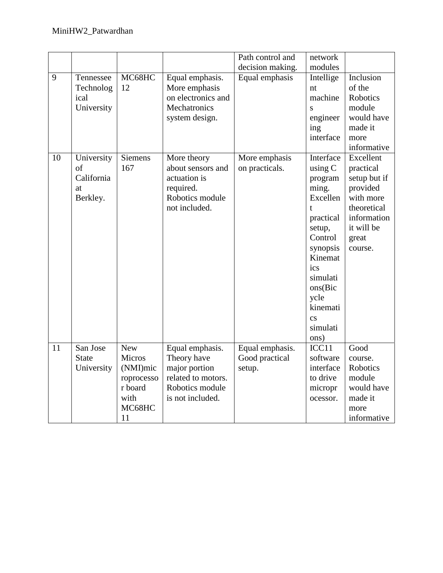|    |              |               |                                | Path control and                  | network                 |                 |
|----|--------------|---------------|--------------------------------|-----------------------------------|-------------------------|-----------------|
|    |              |               |                                | decision making.                  | modules                 |                 |
| 9  | Tennessee    | MC68HC        | Equal emphasis.                | Equal emphasis                    | Intellige               | Inclusion       |
|    | Technolog    | 12            | More emphasis                  |                                   | nt                      | of the          |
|    | ical         |               | on electronics and             |                                   | machine                 | <b>Robotics</b> |
|    | University   |               | Mechatronics                   |                                   | $\overline{\mathbf{s}}$ | module          |
|    |              |               | system design.                 |                                   | engineer                | would have      |
|    |              |               |                                |                                   | ing                     | made it         |
|    |              |               |                                |                                   | interface               | more            |
|    |              |               |                                |                                   |                         | informative     |
| 10 | University   | Siemens       | More theory                    | More emphasis                     | Interface               | Excellent       |
|    | of           | 167           | about sensors and              | on practicals.                    | using C                 | practical       |
|    | California   |               | actuation is                   |                                   | program                 | setup but if    |
|    | at           |               | required.                      |                                   | ming.                   | provided        |
|    | Berkley.     |               | Robotics module                |                                   | Excellen                | with more       |
|    |              |               | not included.                  |                                   | $\mathbf{f}$            | theoretical     |
|    |              |               |                                |                                   | practical               | information     |
|    |              |               |                                |                                   | setup,                  | it will be      |
|    |              |               |                                |                                   | Control                 | great           |
|    |              |               |                                |                                   | synopsis                | course.         |
|    |              |               |                                |                                   | Kinemat                 |                 |
|    |              |               |                                |                                   | ics                     |                 |
|    |              |               |                                |                                   | simulati                |                 |
|    |              |               |                                |                                   | ons(Bic                 |                 |
|    |              |               |                                |                                   | ycle                    |                 |
|    |              |               |                                |                                   | kinemati                |                 |
|    |              |               |                                |                                   | $\overline{\text{cs}}$  |                 |
|    |              |               |                                |                                   | simulati                |                 |
| 11 | San Jose     | <b>New</b>    |                                |                                   | ons)<br>ICC11           | Good            |
|    | <b>State</b> | <b>Micros</b> | Equal emphasis.<br>Theory have | Equal emphasis.<br>Good practical | software                | course.         |
|    |              | (NMI)mic      | major portion                  |                                   | interface               | Robotics        |
|    | University   | roprocesso    | related to motors.             | setup.                            | to drive                | module          |
|    |              | r board       | Robotics module                |                                   | micropr                 | would have      |
|    |              | with          | is not included.               |                                   | ocessor.                | made it         |
|    |              | MC68HC        |                                |                                   |                         | more            |
|    |              |               |                                |                                   |                         |                 |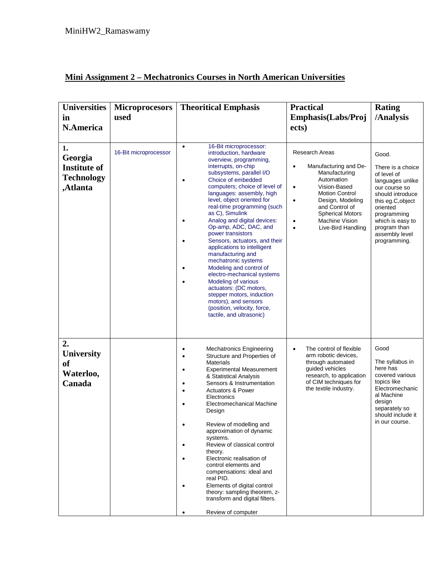### **Mini Assignment 2 – Mechatronics Courses in North American Universities**

| <b>Universities</b><br>in<br><b>N.America</b>                         | <b>Microprocesors</b><br>used | <b>Theoritical Emphasis</b>                                                                                                                                                                                                                                                                                                                                                                                                                                                                                                                                                                                                                                                                                                       | <b>Practical</b><br>Emphasis(Labs/Proj<br>ects)                                                                                                                                                                                                                                          | <b>Rating</b><br>/Analysis                                                                                                                                                                                               |
|-----------------------------------------------------------------------|-------------------------------|-----------------------------------------------------------------------------------------------------------------------------------------------------------------------------------------------------------------------------------------------------------------------------------------------------------------------------------------------------------------------------------------------------------------------------------------------------------------------------------------------------------------------------------------------------------------------------------------------------------------------------------------------------------------------------------------------------------------------------------|------------------------------------------------------------------------------------------------------------------------------------------------------------------------------------------------------------------------------------------------------------------------------------------|--------------------------------------------------------------------------------------------------------------------------------------------------------------------------------------------------------------------------|
| 1.<br>Georgia<br><b>Institute of</b><br><b>Technology</b><br>Atlanta, | 16-Bit microprocessor         | 16-Bit microprocessor:<br>$\bullet$<br>introduction, hardware<br>overview, programming,<br>interrupts, on-chip<br>subsystems, parallel I/O<br>Choice of embedded<br>computers; choice of level of<br>languages: assembly, high<br>level, object oriented for<br>real-time programming (such<br>as C), Simulink<br>Analog and digital devices:<br>Op-amp, ADC, DAC, and<br>power transistors<br>Sensors, actuators, and their<br>applications to intelligent<br>manufacturing and<br>mechatronic systems<br>Modeling and control of<br>electro-mechanical systems<br>Modeling of various<br>actuators: (DC motors,<br>stepper motors, induction<br>motors), and sensors<br>(position, velocity, force,<br>tactile, and ultrasonic) | <b>Research Areas</b><br>Manufacturing and De-<br>$\bullet$<br>Manufacturing<br>Automation<br>Vision-Based<br>$\bullet$<br><b>Motion Control</b><br>Design, Modeling<br>$\bullet$<br>and Control of<br><b>Spherical Motors</b><br>Machine Vision<br>٠<br>Live-Bird Handling<br>$\bullet$ | Good.<br>There is a choice<br>of level of<br>languages unlike<br>our course so<br>should introduce<br>this eg.C, object<br>oriented<br>programming<br>which is easy to<br>program than<br>assembly level<br>programming. |
| 2.<br>University<br><sub>of</sub><br>Waterloo,<br>Canada              |                               | <b>Mechatronics Engineering</b><br>٠<br>Structure and Properties of<br>$\bullet$<br><b>Materials</b><br><b>Experimental Measurement</b><br>& Statistical Analysis<br>Sensors & Instrumentation<br><b>Actuators &amp; Power</b><br>٠<br>Electronics<br>Electromechanical Machine<br>Design<br>Review of modelling and<br>approximation of dynamic<br>systems.<br>Review of classical control<br>theory.<br>Electronic realisation of<br>control elements and<br>compensations: ideal and<br>real PID.<br>Elements of digital control<br>theory: sampling theorem, z-<br>transform and digital filters.<br>Review of computer                                                                                                       | The control of flexible<br>$\bullet$<br>arm robotic devices,<br>through automated<br>guided vehicles<br>research, to application<br>of CIM techniques for<br>the textile industry.                                                                                                       | Good<br>The syllabus in<br>here has<br>covered various<br>topics like<br>Electromechanic<br>al Machine<br>design<br>separately so<br>should include it<br>in our course.                                                 |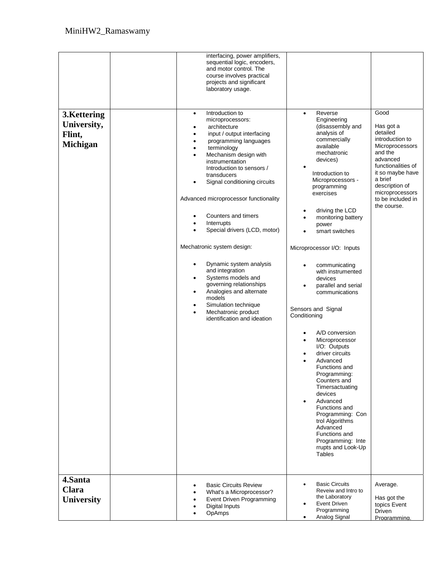| 3. Kettering<br>University,<br>Flint,<br>Michigan | interfacing, power amplifiers,<br>sequential logic, encoders,<br>and motor control. The<br>course involves practical<br>projects and significant<br>laboratory usage.<br>Introduction to<br>$\bullet$<br>microprocessors:<br>architecture<br>٠<br>input / output interfacing<br>٠<br>programming languages<br>٠<br>terminology<br>٠<br>Mechanism design with<br>$\bullet$<br>instrumentation<br>Introduction to sensors /<br>transducers<br>Signal conditioning circuits<br>٠<br>Advanced microprocessor functionality<br>Counters and timers<br>Interrupts<br>٠<br>Special drivers (LCD, motor)<br>Mechatronic system design: | Reverse<br>$\bullet$<br>Engineering<br>(disassembly and<br>analysis of<br>commercially<br>available<br>mechatronic<br>devices)<br>٠<br>Introduction to<br>Microprocessors -<br>programming<br>exercises<br>driving the LCD<br>monitoring battery<br>power<br>smart switches<br>Microprocessor I/O: Inputs                                                                                                                                                                     | Good<br>Has got a<br>detailed<br>introduction to<br>Microprocessors<br>and the<br>advanced<br>functionalities of<br>it so maybe have<br>a brief<br>description of<br>microprocessors<br>to be included in<br>the course. |
|---------------------------------------------------|--------------------------------------------------------------------------------------------------------------------------------------------------------------------------------------------------------------------------------------------------------------------------------------------------------------------------------------------------------------------------------------------------------------------------------------------------------------------------------------------------------------------------------------------------------------------------------------------------------------------------------|-------------------------------------------------------------------------------------------------------------------------------------------------------------------------------------------------------------------------------------------------------------------------------------------------------------------------------------------------------------------------------------------------------------------------------------------------------------------------------|--------------------------------------------------------------------------------------------------------------------------------------------------------------------------------------------------------------------------|
|                                                   | Dynamic system analysis<br>and integration<br>Systems models and<br>٠<br>governing relationships<br>Analogies and alternate<br>models<br>Simulation technique<br>٠<br>Mechatronic product<br>٠<br>identification and ideation                                                                                                                                                                                                                                                                                                                                                                                                  | communicating<br>٠<br>with instrumented<br>devices<br>parallel and serial<br>communications<br>Sensors and Signal<br>Conditioning<br>A/D conversion<br>Microprocessor<br>I/O: Outputs<br>driver circuits<br>Advanced<br>Functions and<br>Programming:<br>Counters and<br>Timersactuating<br>devices<br>Advanced<br>$\bullet$<br>Functions and<br>Programming: Con<br>trol Algorithms<br>Advanced<br>Functions and<br>Programming: Inte<br>rrupts and Look-Up<br><b>Tables</b> |                                                                                                                                                                                                                          |
| 4.Santa<br><b>Clara</b><br><b>University</b>      | <b>Basic Circuits Review</b><br>What's a Microprocessor?<br>Event Driven Programming<br>٠<br>Digital Inputs<br>OpAmps                                                                                                                                                                                                                                                                                                                                                                                                                                                                                                          | <b>Basic Circuits</b><br>$\bullet$<br>Reveiw and Intro to<br>the Laboratory<br>Event Driven<br>٠<br>Programming<br>Analog Signal<br>$\bullet$                                                                                                                                                                                                                                                                                                                                 | Average.<br>Has got the<br>topics Event<br>Driven<br>Programming,                                                                                                                                                        |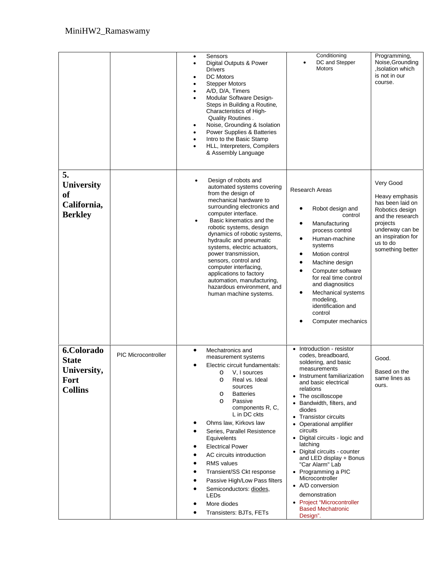|                                                                            |                            | Sensors<br>٠<br>Digital Outputs & Power<br>$\bullet$<br><b>Drivers</b><br><b>DC</b> Motors<br>Stepper Motors<br>$\bullet$<br>A/D, D/A, Timers<br>٠<br>Modular Software Design-<br>Steps in Building a Routine,<br>Characteristics of High-<br>Quality Routines.<br>Noise, Grounding & Isolation<br>$\bullet$<br>Power Supplies & Batteries<br>$\bullet$<br>Intro to the Basic Stamp<br>$\bullet$<br>HLL, Interpreters, Compilers<br>$\bullet$<br>& Assembly Language                                                                  | Conditioning<br>DC and Stepper<br>٠<br>Motors                                                                                                                                                                                                                                                                                                                                                                                                                                                                                                                                     | Programming,<br>Noise, Grounding<br>Isolation which<br>is not in our<br>course.                                                                                             |
|----------------------------------------------------------------------------|----------------------------|---------------------------------------------------------------------------------------------------------------------------------------------------------------------------------------------------------------------------------------------------------------------------------------------------------------------------------------------------------------------------------------------------------------------------------------------------------------------------------------------------------------------------------------|-----------------------------------------------------------------------------------------------------------------------------------------------------------------------------------------------------------------------------------------------------------------------------------------------------------------------------------------------------------------------------------------------------------------------------------------------------------------------------------------------------------------------------------------------------------------------------------|-----------------------------------------------------------------------------------------------------------------------------------------------------------------------------|
| 5.<br>University<br><sub>of</sub><br>California,<br><b>Berkley</b>         |                            | Design of robots and<br>automated systems covering<br>from the design of<br>mechanical hardware to<br>surrounding electronics and<br>computer interface.<br>Basic kinematics and the<br>٠<br>robotic systems, design<br>dynamics of robotic systems,<br>hydraulic and pneumatic<br>systems, electric actuators,<br>power transmission,<br>sensors, control and<br>computer interfacing,<br>applications to factory<br>automation, manufacturing,<br>hazardous environment, and<br>human machine systems.                              | <b>Research Areas</b><br>Robot design and<br>control<br>Manufacturing<br>process control<br>Human-machine<br>systems<br>Motion control<br>Machine design<br>Computer software<br>for real time control<br>and diagnositics<br>Mechanical systems<br>modeling,<br>identification and<br>control<br>Computer mechanics                                                                                                                                                                                                                                                              | Very Good<br>Heavy emphasis<br>has been laid on<br>Robotics design<br>and the research<br>projects<br>underway can be<br>an inspiration for<br>us to do<br>something better |
| 6.Colorado<br><b>State</b><br>University,<br><b>Fort</b><br><b>Collins</b> | <b>PIC Microcontroller</b> | Mechatronics and<br>$\bullet$<br>measurement systems<br>Electric circuit fundamentals:<br>V, I sources<br>O<br>Real vs. Ideal<br>O<br>sources<br><b>Batteries</b><br>O<br>Passive<br>O<br>components R, C,<br>L in DC ckts<br>Ohms law, Kirkovs law<br>Series, Parallel Resistence<br>Equivelents<br><b>Electrical Power</b><br>AC circuits introduction<br><b>RMS</b> values<br>Transient/SS Ckt response<br>$\bullet$<br>Passive High/Low Pass filters<br>Semiconductors: diodes,<br>LEDs<br>More diodes<br>Transisters: BJTs, FETs | Introduction - resistor<br>$\bullet$<br>codes, breadboard,<br>soldering, and basic<br>measurements<br>Instrument familiarization<br>and basic electrical<br>relations<br>• The oscilloscope<br>• Bandwidth, filters, and<br>diodes<br>• Transistor circuits<br>Operational amplifier<br>circuits<br>• Digital circuits - logic and<br>latching<br>• Digital circuits - counter<br>and LED display + Bonus<br>"Car Alarm" Lab<br>• Programming a PIC<br>Microcontroller<br>• A/D conversion<br>demonstration<br>• Project "Microcontroller<br><b>Based Mechatronic</b><br>Design". | Good.<br>Based on the<br>same lines as<br>ours.                                                                                                                             |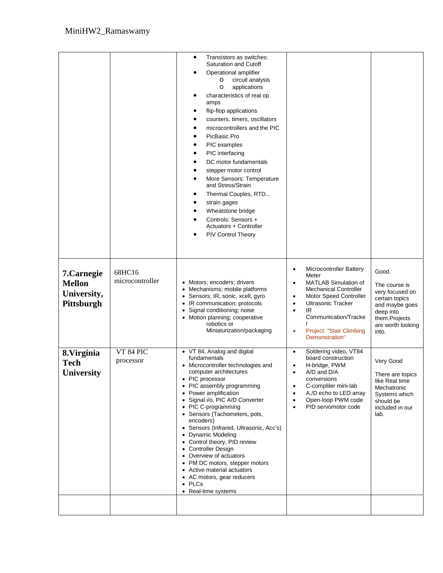|                                                           |                           | Transistors as switches:<br>$\bullet$<br><b>Saturation and Cutoff</b><br>Operational amplifier<br>circuit analysis<br>$\circ$<br>applications<br>$\circ$<br>characteristics of real op<br>amps<br>flip-flop applications<br>counters, timers, oscillators<br>microcontrollers and the PIC<br>PicBasic Pro<br>PIC examples<br>PIC interfacing<br>DC motor fundamentals<br>stepper motor control<br>More Sensors: Temperature<br>and Stress/Strain<br>Thermal Couples, RTD<br>strain gages<br>Wheatstone bridge<br>Controls: Sensors +<br>Actuators + Controller<br>PIV Control Theory |                                                                                                                                                                                                                                                                                                   |                                                                                                                                           |
|-----------------------------------------------------------|---------------------------|--------------------------------------------------------------------------------------------------------------------------------------------------------------------------------------------------------------------------------------------------------------------------------------------------------------------------------------------------------------------------------------------------------------------------------------------------------------------------------------------------------------------------------------------------------------------------------------|---------------------------------------------------------------------------------------------------------------------------------------------------------------------------------------------------------------------------------------------------------------------------------------------------|-------------------------------------------------------------------------------------------------------------------------------------------|
| 7. Carnegie<br><b>Mellon</b><br>University,<br>Pittsburgh | 68HC16<br>microcontroller | • Motors; encoders; drivers<br>Mechanisms; mobile platforms<br>Sensors; IR, sonic, xcell, gyro<br>٠<br>IR communication; protocols<br>٠<br>Signal conditioning; noise<br>Motion planning; cooperative<br>robotics or<br>Miniaturization/packaging                                                                                                                                                                                                                                                                                                                                    | Microcontroller Battery<br>$\bullet$<br>Meter<br><b>MATLAB Simulation of</b><br>٠<br><b>Mechanical Controller</b><br>Motor Speed Controller<br>$\bullet$<br><b>Ultrasonic Tracker</b><br>$\bullet$<br>IR.<br>$\bullet$<br>Communication/Tracke<br>Project: "Stair Climbing<br>٠<br>Demonstration" | Good.<br>The course is<br>very focused on<br>certain topics<br>and maybe goes<br>deep into<br>them.Projects<br>are worth looking<br>into. |
| 8. Virginia<br><b>Tech</b><br>University                  | VT 84 PIC<br>processor    | • VT 84, Analog and digital<br>fundamentals<br>• Microcontroller technologies and<br>computer architectures<br>• PIC processor<br>• PIC assembly programming<br>• Power amplification<br>• Signal i/o, PIC A/D Converter<br>• PIC C-programming<br>• Sensors (Tachometers, pots,<br>encoders)<br>• Sensors (Infrared, Ultrasonic, Acc's)<br>• Dynamic Modeling<br>• Control theory, PID review<br>• Controller Design<br>• Overview of actuators<br>• PM DC motors, stepper motors<br>• Active material actuators<br>• AC motors, gear reducers<br>PLCs<br>• Real-time systems       | Soldering video, VT84<br>$\bullet$<br>board construction<br>H-bridge, PWM<br>$\bullet$<br>A/D and D/A<br>٠<br>conversions<br>C-compliler mini-lab<br>$\bullet$<br>A./D echo to LED array<br>Open-loop PWM code<br>$\bullet$<br>PID servomotor code<br>$\bullet$                                   | Very Good<br>There are topics<br>like Real time<br>Mechatronic<br>Systems which<br>should be<br>included in our<br>lab.                   |
|                                                           |                           |                                                                                                                                                                                                                                                                                                                                                                                                                                                                                                                                                                                      |                                                                                                                                                                                                                                                                                                   |                                                                                                                                           |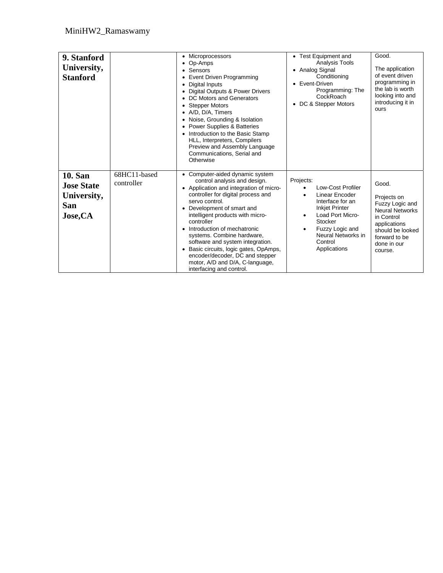| 9. Stanford<br>University,<br><b>Stanford</b>                                |                            | Microprocessors<br>Op-Amps<br>Sensors<br>Event Driven Programming<br>Digital Inputs<br>Digital Outputs & Power Drivers<br>DC Motors and Generators<br><b>Stepper Motors</b><br>A/D, D/A, Timers<br>Noise, Grounding & Isolation<br><b>Power Supplies &amp; Batteries</b><br>Introduction to the Basic Stamp<br>HLL, Interpreters, Compilers<br>Preview and Assembly Language<br>Communications, Serial and<br>Otherwise                                                                     | • Test Equipment and<br>Analysis Tools<br>• Analog Signal<br>Conditioning<br>• Event-Driven<br>Programming: The<br>CockRoach<br>• DC & Stepper Motors                                                                           | Good.<br>The application<br>of event driven<br>programming in<br>the lab is worth<br>looking into and<br>introducing it in<br>ours                             |
|------------------------------------------------------------------------------|----------------------------|---------------------------------------------------------------------------------------------------------------------------------------------------------------------------------------------------------------------------------------------------------------------------------------------------------------------------------------------------------------------------------------------------------------------------------------------------------------------------------------------|---------------------------------------------------------------------------------------------------------------------------------------------------------------------------------------------------------------------------------|----------------------------------------------------------------------------------------------------------------------------------------------------------------|
| <b>10. San</b><br><b>Jose State</b><br>University,<br><b>San</b><br>Jose, CA | 68HC11-based<br>controller | • Computer-aided dynamic system<br>control analysis and design.<br>• Application and integration of micro-<br>controller for digital process and<br>servo control.<br>Development of smart and<br>intelligent products with micro-<br>controller<br>Introduction of mechatronic<br>systems. Combine hardware,<br>software and system integration.<br>Basic circuits, logic gates, OpAmps,<br>encoder/decoder, DC and stepper<br>motor, A/D and D/A, C-language,<br>interfacing and control. | Projects:<br>Low-Cost Profiler<br>Linear Encoder<br>٠<br>Interface for an<br><b>Inkiet Printer</b><br>Load Port Micro-<br>$\bullet$<br>Stocker<br>Fuzzy Logic and<br>$\bullet$<br>Neural Networks in<br>Control<br>Applications | Good.<br>Projects on<br>Fuzzy Logic and<br><b>Neural Networks</b><br>in Control<br>applications<br>should be looked<br>forward to be<br>done in our<br>course. |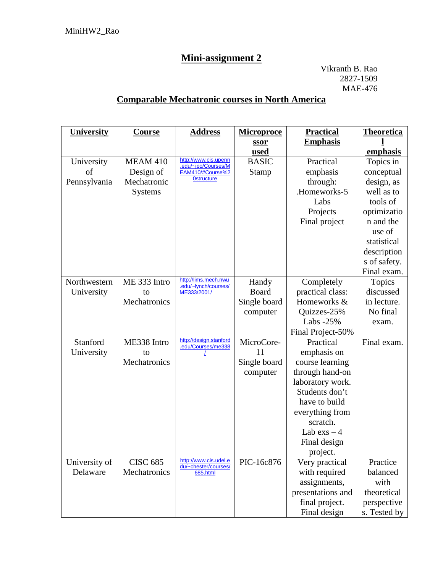### **Mini-assignment 2**

Vikranth B. Rao 2827-1509 MAE-476

### **Comparable Mechatronic courses in North America**

| <b>University</b> | <b>Course</b>   | <b>Address</b>                                | <b>Microproce</b> | <b>Practical</b>  | <b>Theoretica</b> |
|-------------------|-----------------|-----------------------------------------------|-------------------|-------------------|-------------------|
|                   |                 |                                               | ssor              | <b>Emphasis</b>   |                   |
|                   |                 |                                               | <u>used</u>       |                   | emphasis          |
| University        | <b>MEAM 410</b> | http://www.cis.upenn<br>.edu/~jpo/Courses/M   | <b>BASIC</b>      | Practical         | Topics in         |
| of                | Design of       | EAM410/#Course%2                              | <b>Stamp</b>      | emphasis          | conceptual        |
| Pennsylvania      | Mechatronic     | <b>Ostructure</b>                             |                   | through:          | design, as        |
|                   | <b>Systems</b>  |                                               |                   | .Homeworks-5      | well as to        |
|                   |                 |                                               |                   | Labs              | tools of          |
|                   |                 |                                               |                   | Projects          | optimizatio       |
|                   |                 |                                               |                   | Final project     | n and the         |
|                   |                 |                                               |                   |                   | use of            |
|                   |                 |                                               |                   |                   | statistical       |
|                   |                 |                                               |                   |                   | description       |
|                   |                 |                                               |                   |                   | s of safety.      |
|                   |                 |                                               |                   |                   | Final exam.       |
| Northwestern      | ME 333 Intro    | http://lims.mech.nwu<br>.edu/~lynch/courses/  | Handy             | Completely        | Topics            |
| University        | to              | ME333/2001/                                   | Board             | practical class:  | discussed         |
|                   | Mechatronics    |                                               | Single board      | Homeworks &       | in lecture.       |
|                   |                 |                                               | computer          | Quizzes-25%       | No final          |
|                   |                 |                                               |                   | Labs -25%         | exam.             |
|                   |                 |                                               |                   | Final Project-50% |                   |
| Stanford          | ME338 Intro     | http://design.stanford<br>.edu/Courses/me338  | MicroCore-        | Practical         | Final exam.       |
| University        | to              |                                               | 11                | emphasis on       |                   |
|                   | Mechatronics    |                                               | Single board      | course learning   |                   |
|                   |                 |                                               | computer          | through hand-on   |                   |
|                   |                 |                                               |                   | laboratory work.  |                   |
|                   |                 |                                               |                   | Students don't    |                   |
|                   |                 |                                               |                   | have to build     |                   |
|                   |                 |                                               |                   | everything from   |                   |
|                   |                 |                                               |                   | scratch.          |                   |
|                   |                 |                                               |                   | Lab $exs - 4$     |                   |
|                   |                 |                                               |                   | Final design      |                   |
|                   |                 |                                               |                   | project.          |                   |
| University of     | <b>CISC 685</b> | http://www.cis.udel.e<br>du/~chester/courses/ | PIC-16c876        | Very practical    | Practice          |
| Delaware          | Mechatronics    | 685.html                                      |                   | with required     | balanced          |
|                   |                 |                                               |                   | assignments,      | with              |
|                   |                 |                                               |                   | presentations and | theoretical       |
|                   |                 |                                               |                   | final project.    | perspective       |
|                   |                 |                                               |                   | Final design      | s. Tested by      |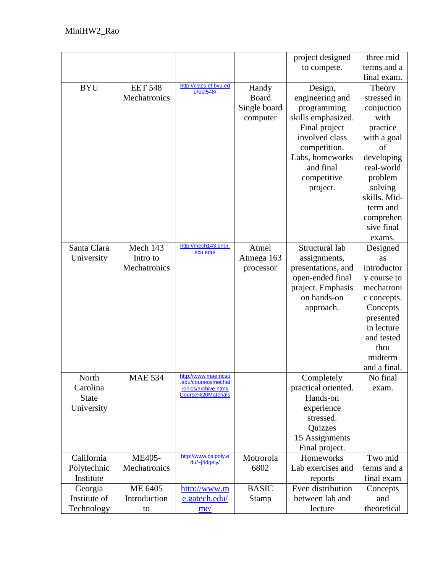|              |                |                                            |              | project designed                 | three mid                 |
|--------------|----------------|--------------------------------------------|--------------|----------------------------------|---------------------------|
|              |                |                                            |              | to compete.                      | terms and a               |
|              |                |                                            |              |                                  | final exam.               |
| <b>BYU</b>   | <b>EET 548</b> | http://class.et.byu.ed<br>u/eet548/        | Handy        | Design,                          | Theory                    |
|              | Mechatronics   |                                            | Board        | engineering and                  | stressed in               |
|              |                |                                            | Single board | programming                      | conjuction                |
|              |                |                                            | computer     | skills emphasized.               | with                      |
|              |                |                                            |              | Final project                    | practice                  |
|              |                |                                            |              | involved class                   | with a goal               |
|              |                |                                            |              | competition.                     | of                        |
|              |                |                                            |              | Labs, homeworks                  | developing                |
|              |                |                                            |              | and final                        | real-world                |
|              |                |                                            |              | competitive                      | problem                   |
|              |                |                                            |              | project.                         | solving                   |
|              |                |                                            |              |                                  | skills. Mid-              |
|              |                |                                            |              |                                  | term and                  |
|              |                |                                            |              |                                  | comprehen                 |
|              |                |                                            |              |                                  | sive final                |
|              |                | http://mech143.engr.                       |              |                                  | exams.                    |
| Santa Clara  | Mech 143       | scu.edu/                                   | Atmel        | Structural lab                   | Designed                  |
| University   | Intro to       |                                            | Atmega 163   | assignments,                     | as                        |
|              | Mechatronics   |                                            | processor    | presentations, and               | introductor               |
|              |                |                                            |              | open-ended final                 | y course to<br>mechatroni |
|              |                |                                            |              | project. Emphasis<br>on hands-on |                           |
|              |                |                                            |              |                                  | c concepts.               |
|              |                |                                            |              | approach.                        | Concepts<br>presented     |
|              |                |                                            |              |                                  | in lecture                |
|              |                |                                            |              |                                  | and tested                |
|              |                |                                            |              |                                  | thru                      |
|              |                |                                            |              |                                  | midterm                   |
|              |                |                                            |              |                                  | and a final.              |
| North        | <b>MAE 534</b> | http://www.mae.ncsu                        |              | Completely                       | No final                  |
| Carolina     |                | .edu/courses/mechat<br>ronics/archive.htm# |              | practical oriented.              | exam.                     |
| <b>State</b> |                | Course%20Materials                         |              | Hands-on                         |                           |
| University   |                |                                            |              | experience                       |                           |
|              |                |                                            |              | stressed.                        |                           |
|              |                |                                            |              | Quizzes                          |                           |
|              |                |                                            |              | 15 Assignments                   |                           |
|              |                |                                            |              | Final project.                   |                           |
| California   | ME405-         | http://www.calpoly.e<br>du/~jridgely/      | Motrorola    | Homeworks                        | Two mid                   |
| Polytechnic  | Mechatronics   |                                            | 6802         | Lab exercises and                | terms and a               |
| Institute    |                |                                            |              | reports                          | final exam                |
| Georgia      | ME 6405        | http://www.m                               | <b>BASIC</b> | Even distribution                | Concepts                  |
| Institute of | Introduction   | e.gatech.edu/                              | <b>Stamp</b> | between lab and                  | and                       |
| Technology   | to             | me/                                        |              | lecture                          | theoretical               |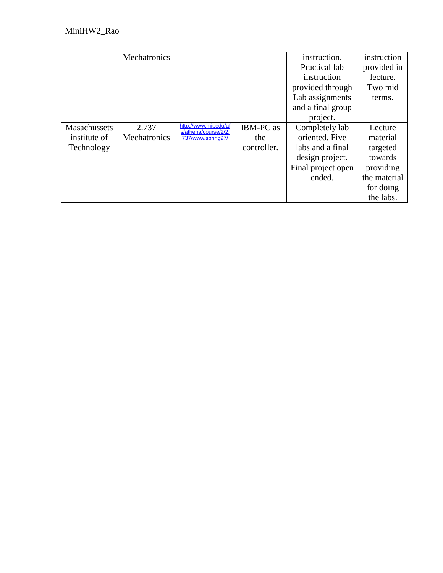|                     | Mechatronics |                                               |                  | instruction.<br>Practical lab | instruction<br>provided in |
|---------------------|--------------|-----------------------------------------------|------------------|-------------------------------|----------------------------|
|                     |              |                                               |                  | instruction                   | lecture.                   |
|                     |              |                                               |                  | provided through              | Two mid                    |
|                     |              |                                               |                  | Lab assignments               | terms.                     |
|                     |              |                                               |                  | and a final group             |                            |
|                     |              |                                               |                  | project.                      |                            |
| <b>Masachussets</b> | 2.737        | http://www.mit.edu/af<br>s/athena/course/2/2. | <b>IBM-PC</b> as | Completely lab                | Lecture                    |
| institute of        | Mechatronics | 737/www.spring97/                             | the              | oriented. Five                | material                   |
| Technology          |              |                                               | controller.      | labs and a final              | targeted                   |
|                     |              |                                               |                  | design project.               | towards                    |
|                     |              |                                               |                  | Final project open            | providing                  |
|                     |              |                                               |                  | ended.                        | the material               |
|                     |              |                                               |                  |                               | for doing                  |
|                     |              |                                               |                  |                               | the labs.                  |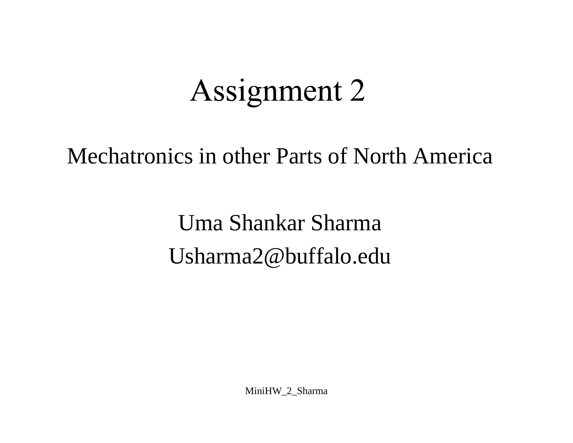# **Assignment 2**

## Mechatronics in other Parts of North America

Uma Shankar SharmaUsharma2@buffalo.edu

MiniHW\_2\_Sharma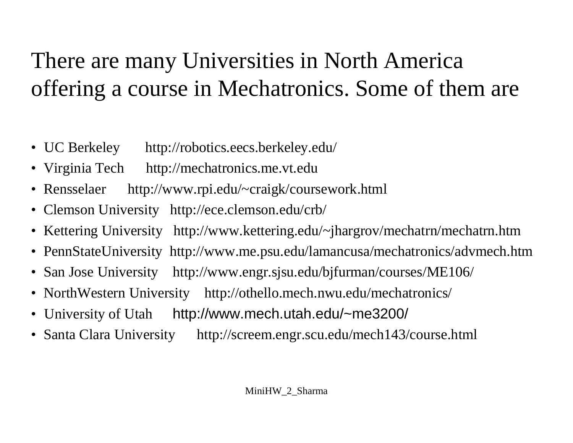# There are many Universities in North America offering a course in Mechatronics. Some of them are

- UC Berkeley http://robotics.eecs.berkeley.edu/
- Virginia Tech http://mechatronics.me.vt.edu
- Rensselaer http://www.rpi.edu/~craigk/coursework.html
- Clemson University http://ece.clemson.edu/crb/
- Kettering University http://www.kettering.edu/~jhargrov/mechatrn/mechatrn.htm
- PennStateUniversity http://www.me.psu.edu/lamancusa/mechatronics/advmech.htm
- San Jose University http://www.engr.sjsu.edu/bjfurman/courses/ME106/
- NorthWestern University http://othello.mech.nwu.edu/mechatronics/
- University of Utah http://www.mech.utah.edu/~me3200/
- Santa Clara University http://screem.engr.scu.edu/mech143/course.html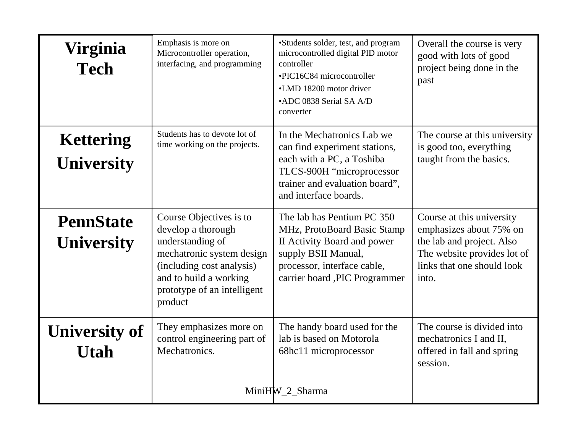| Virginia<br><b>Tech</b>               | Emphasis is more on<br>Microcontroller operation,<br>interfacing, and programming                                                                                                               | •Students solder, test, and program<br>microcontrolled digital PID motor<br>controller<br>•PIC16C84 microcontroller<br>•LMD 18200 motor driver<br>•ADC 0838 Serial SA A/D<br>converter | Overall the course is very<br>good with lots of good<br>project being done in the<br>past                                                               |
|---------------------------------------|-------------------------------------------------------------------------------------------------------------------------------------------------------------------------------------------------|----------------------------------------------------------------------------------------------------------------------------------------------------------------------------------------|---------------------------------------------------------------------------------------------------------------------------------------------------------|
| Kettering<br><b>University</b>        | Students has to devote lot of<br>time working on the projects.                                                                                                                                  | In the Mechatronics Lab we<br>can find experiment stations,<br>each with a PC, a Toshiba<br>TLCS-900H "microprocessor<br>trainer and evaluation board",<br>and interface boards.       | The course at this university<br>is good too, everything<br>taught from the basics.                                                                     |
| <b>PennState</b><br><b>University</b> | Course Objectives is to<br>develop a thorough<br>understanding of<br>mechatronic system design<br>(including cost analysis)<br>and to build a working<br>prototype of an intelligent<br>product | The lab has Pentium PC 350<br>MHz, ProtoBoard Basic Stamp<br>II Activity Board and power<br>supply BSII Manual,<br>processor, interface cable,<br>carrier board , PIC Programmer       | Course at this university<br>emphasizes about 75% on<br>the lab and project. Also<br>The website provides lot of<br>links that one should look<br>into. |
| <b>University of</b><br><b>Utah</b>   | They emphasizes more on<br>control engineering part of<br>Mechatronics.                                                                                                                         | The handy board used for the<br>lab is based on Motorola<br>68hc11 microprocessor                                                                                                      | The course is divided into<br>mechatronics I and II,<br>offered in fall and spring<br>session.                                                          |
|                                       |                                                                                                                                                                                                 | MiniHW_2_Sharma                                                                                                                                                                        |                                                                                                                                                         |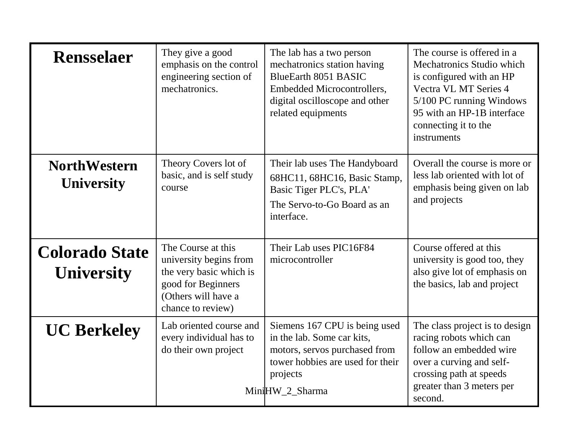| <b>Rensselaer</b>                          | They give a good<br>emphasis on the control<br>engineering section of<br>mechatronics.                                                    | The lab has a two person<br>mechatronics station having<br>BlueEarth 8051 BASIC<br>Embedded Microcontrollers,<br>digital oscilloscope and other<br>related equipments | The course is offered in a<br>Mechatronics Studio which<br>is configured with an HP<br><b>Vectra VL MT Series 4</b><br>5/100 PC running Windows<br>95 with an HP-1B interface<br>connecting it to the<br>instruments |
|--------------------------------------------|-------------------------------------------------------------------------------------------------------------------------------------------|-----------------------------------------------------------------------------------------------------------------------------------------------------------------------|----------------------------------------------------------------------------------------------------------------------------------------------------------------------------------------------------------------------|
| <b>NorthWestern</b><br><b>University</b>   | Theory Covers lot of<br>basic, and is self study<br>course                                                                                | Their lab uses The Handyboard<br>68HC11, 68HC16, Basic Stamp,<br>Basic Tiger PLC's, PLA'<br>The Servo-to-Go Board as an<br>interface.                                 | Overall the course is more or<br>less lab oriented with lot of<br>emphasis being given on lab<br>and projects                                                                                                        |
| <b>Colorado State</b><br><b>University</b> | The Course at this<br>university begins from<br>the very basic which is<br>good for Beginners<br>(Others will have a<br>chance to review) | Their Lab uses PIC16F84<br>microcontroller                                                                                                                            | Course offered at this<br>university is good too, they<br>also give lot of emphasis on<br>the basics, lab and project                                                                                                |
| <b>UC Berkeley</b>                         | Lab oriented course and<br>every individual has to<br>do their own project                                                                | Siemens 167 CPU is being used<br>in the lab. Some car kits,<br>motors, servos purchased from<br>tower hobbies are used for their<br>projects<br>MiniHW 2 Sharma       | The class project is to design<br>racing robots which can<br>follow an embedded wire<br>over a curving and self-<br>crossing path at speeds<br>greater than 3 meters per<br>second.                                  |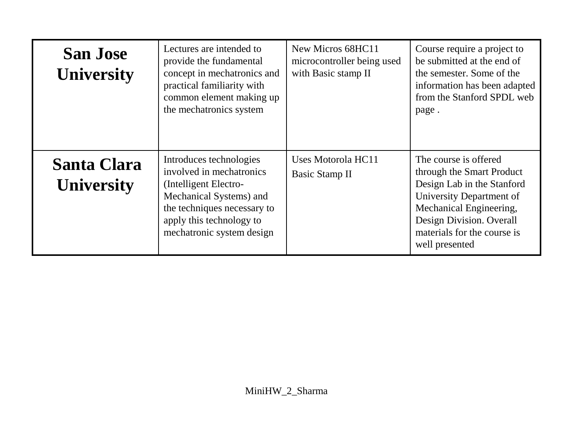| <b>San Jose</b><br><b>University</b>    | Lectures are intended to<br>provide the fundamental<br>concept in mechatronics and<br>practical familiarity with<br>common element making up<br>the mechatronics system                         | New Micros 68HC11<br>microcontroller being used<br>with Basic stamp II | Course require a project to<br>be submitted at the end of<br>the semester. Some of the<br>information has been adapted<br>from the Stanford SPDL web<br>page.                                                        |
|-----------------------------------------|-------------------------------------------------------------------------------------------------------------------------------------------------------------------------------------------------|------------------------------------------------------------------------|----------------------------------------------------------------------------------------------------------------------------------------------------------------------------------------------------------------------|
| <b>Santa Clara</b><br><b>University</b> | Introduces technologies<br>involved in mechatronics<br>(Intelligent Electro-<br>Mechanical Systems) and<br>the techniques necessary to<br>apply this technology to<br>mechatronic system design | Uses Motorola HC11<br><b>Basic Stamp II</b>                            | The course is offered<br>through the Smart Product<br>Design Lab in the Stanford<br>University Department of<br>Mechanical Engineering,<br>Design Division. Overall<br>materials for the course is<br>well presented |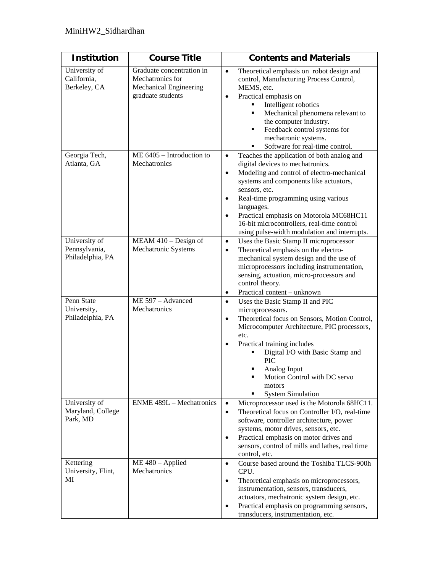| <b>Institution</b>                                 | <b>Course Title</b>                                                                          | <b>Contents and Materials</b>                                                                                                                                                                                                                                                                                                                                                                                                     |
|----------------------------------------------------|----------------------------------------------------------------------------------------------|-----------------------------------------------------------------------------------------------------------------------------------------------------------------------------------------------------------------------------------------------------------------------------------------------------------------------------------------------------------------------------------------------------------------------------------|
| University of<br>California,<br>Berkeley, CA       | Graduate concentration in<br>Mechatronics for<br>Mechanical Engineering<br>graduate students | Theoretical emphasis on robot design and<br>$\bullet$<br>control, Manufacturing Process Control,<br>MEMS, etc.<br>Practical emphasis on<br>$\bullet$<br>Intelligent robotics<br>Mechanical phenomena relevant to<br>٠<br>the computer industry.<br>Feedback control systems for<br>٠<br>mechatronic systems.<br>Software for real-time control.                                                                                   |
| Georgia Tech,<br>Atlanta, GA                       | ME 6405 - Introduction to<br>Mechatronics                                                    | Teaches the application of both analog and<br>$\bullet$<br>digital devices to mechatronics.<br>Modeling and control of electro-mechanical<br>$\bullet$<br>systems and components like actuators,<br>sensors, etc.<br>Real-time programming using various<br>٠<br>languages.<br>Practical emphasis on Motorola MC68HC11<br>$\bullet$<br>16-bit microcontrollers, real-time control<br>using pulse-width modulation and interrupts. |
| University of<br>Pennsylvania,<br>Philadelphia, PA | $MEAM 410 - Design of$<br>Mechatronic Systems                                                | Uses the Basic Stamp II microprocessor<br>$\bullet$<br>Theoretical emphasis on the electro-<br>$\bullet$<br>mechanical system design and the use of<br>microprocessors including instrumentation,<br>sensing, actuation, micro-processors and<br>control theory.<br>Practical content - unknown<br>$\bullet$                                                                                                                      |
| Penn State<br>University,<br>Philadelphia, PA      | ME 597 - Advanced<br>Mechatronics                                                            | Uses the Basic Stamp II and PIC<br>$\bullet$<br>microprocessors.<br>Theoretical focus on Sensors, Motion Control,<br>$\bullet$<br>Microcomputer Architecture, PIC processors,<br>etc.<br>Practical training includes<br>$\bullet$<br>Digital I/O with Basic Stamp and<br><b>PIC</b><br>Analog Input<br>п<br>Motion Control with DC servo<br>motors<br><b>System Simulation</b>                                                    |
| University of<br>Maryland, College<br>Park, MD     | <b>ENME 489L - Mechatronics</b>                                                              | Microprocessor used is the Motorola 68HC11.<br>$\bullet$<br>Theoretical focus on Controller I/O, real-time<br>$\bullet$<br>software, controller architecture, power<br>systems, motor drives, sensors, etc.<br>Practical emphasis on motor drives and<br>$\bullet$<br>sensors, control of mills and lathes, real time<br>control, etc.                                                                                            |
| Kettering<br>University, Flint,<br>МI              | ME 480 - Applied<br>Mechatronics                                                             | Course based around the Toshiba TLCS-900h<br>$\bullet$<br>CPU.<br>Theoretical emphasis on microprocessors,<br>$\bullet$<br>instrumentation, sensors, transducers,<br>actuators, mechatronic system design, etc.<br>Practical emphasis on programming sensors,<br>$\bullet$<br>transducers, instrumentation, etc.                                                                                                                  |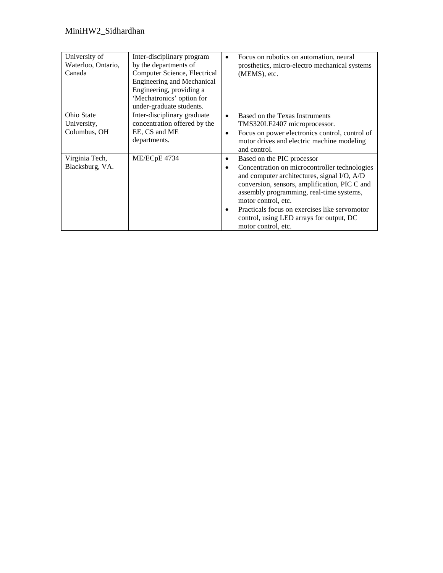| University of<br>Waterloo, Ontario,<br>Canada | Inter-disciplinary program<br>by the departments of<br>Computer Science, Electrical<br><b>Engineering and Mechanical</b><br>Engineering, providing a<br>'Mechatronics' option for<br>under-graduate students. | Focus on robotics on automation, neural<br>٠<br>prosthetics, micro-electro mechanical systems<br>(MEMS), etc.                                                                                                                                                                                                                                                                             |
|-----------------------------------------------|---------------------------------------------------------------------------------------------------------------------------------------------------------------------------------------------------------------|-------------------------------------------------------------------------------------------------------------------------------------------------------------------------------------------------------------------------------------------------------------------------------------------------------------------------------------------------------------------------------------------|
| Ohio State<br>University,<br>Columbus, OH     | Inter-disciplinary graduate<br>concentration offered by the<br>EE, CS and ME<br>departments.                                                                                                                  | Based on the Texas Instruments<br>$\bullet$<br>TMS320LF2407 microprocessor.<br>Focus on power electronics control, control of<br>٠<br>motor drives and electric machine modeling<br>and control.                                                                                                                                                                                          |
| Virginia Tech,<br>Blacksburg, VA.             | ME/ECpE 4734                                                                                                                                                                                                  | Based on the PIC processor<br>٠<br>Concentration on microcontroller technologies<br>٠<br>and computer architectures, signal I/O, A/D<br>conversion, sensors, amplification, PIC C and<br>assembly programming, real-time systems,<br>motor control, etc.<br>Practicals focus on exercises like servomotor<br>$\bullet$<br>control, using LED arrays for output, DC<br>motor control, etc. |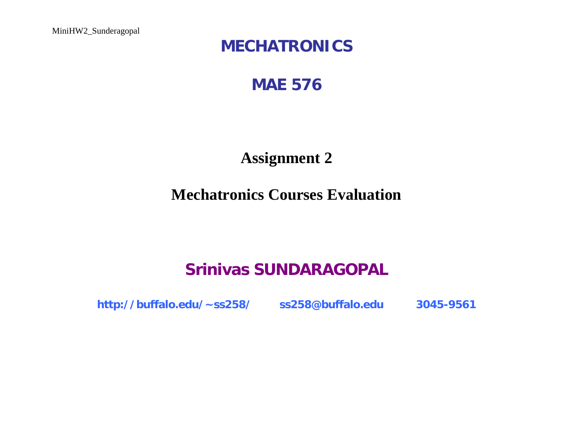### **MECHATRONICS**

### **MAE 576**

### **Assignment 2**

### **Mechatronics Courses Evaluation**

### **Srinivas SUNDARAGOPAL**

**http://buffalo.edu/~ss258/ ss258@buffalo.edu 3045-9561**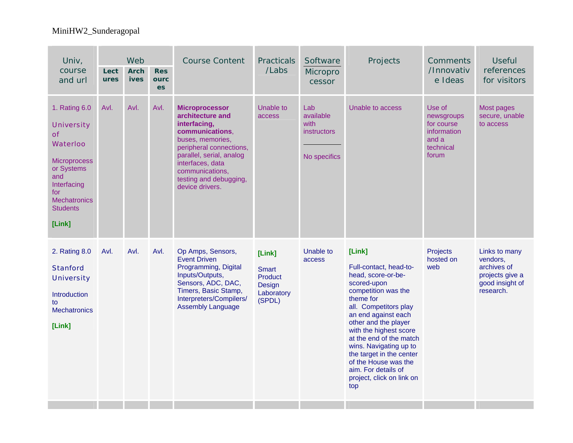### MiniHW2\_Sunderagopal

| Univ,<br>course<br>and url                                                                                                                                                       | Lect<br>ures | Web<br><b>Arch</b><br><b>ives</b> | <b>Res</b><br>ourc<br>es | <b>Course Content</b>                                                                                                                                                                                                                       | <b>Practicals</b><br>/Labs                                          | Software<br>Micropro<br>cessor                                 | Projects                                                                                                                                                                                                                                                                                                                                                                        | Comments<br>/Innovativ<br>e Ideas                                                | <b>Useful</b><br>references<br>for visitors                                                 |
|----------------------------------------------------------------------------------------------------------------------------------------------------------------------------------|--------------|-----------------------------------|--------------------------|---------------------------------------------------------------------------------------------------------------------------------------------------------------------------------------------------------------------------------------------|---------------------------------------------------------------------|----------------------------------------------------------------|---------------------------------------------------------------------------------------------------------------------------------------------------------------------------------------------------------------------------------------------------------------------------------------------------------------------------------------------------------------------------------|----------------------------------------------------------------------------------|---------------------------------------------------------------------------------------------|
| 1. Rating 6.0<br>University<br>$\overline{of}$<br>Waterloo<br><b>Microprocess</b><br>or Systems<br>and<br>Interfacing<br>for<br><b>Mechatronics</b><br><b>Students</b><br>[Link] | Avl.         | Avl.                              | Avl.                     | <b>Microprocessor</b><br>architecture and<br>interfacing,<br>communications,<br>buses, memories,<br>peripheral connections,<br>parallel, serial, analog<br>interfaces, data<br>communications,<br>testing and debugging,<br>device drivers. | Unable to<br>access                                                 | Lab<br>available<br>with<br><b>instructors</b><br>No specifics | Unable to access                                                                                                                                                                                                                                                                                                                                                                | Use of<br>newsgroups<br>for course<br>information<br>and a<br>technical<br>forum | Most pages<br>secure, unable<br>to access                                                   |
| 2. Rating 8.0<br><b>Stanford</b><br><b>University</b><br>Introduction<br>to<br><b>Mechatronics</b><br>[Link]                                                                     | Avl.         | Avl.                              | Avl.                     | Op Amps, Sensors,<br><b>Event Driven</b><br>Programming, Digital<br>Inputs/Outputs,<br>Sensors, ADC, DAC,<br>Timers, Basic Stamp,<br>Interpreters/Compilers/<br>Assembly Language                                                           | [Link]<br><b>Smart</b><br>Product<br>Design<br>Laboratory<br>(SPDL) | Unable to<br>access                                            | [Link]<br>Full-contact, head-to-<br>head, score-or-be-<br>scored-upon<br>competition was the<br>theme for<br>all. Competitors play<br>an end against each<br>other and the player<br>with the highest score<br>at the end of the match<br>wins. Navigating up to<br>the target in the center<br>of the House was the<br>aim. For details of<br>project, click on link on<br>top | Projects<br>hosted on<br>web                                                     | Links to many<br>vendors,<br>archives of<br>projects give a<br>good insight of<br>research. |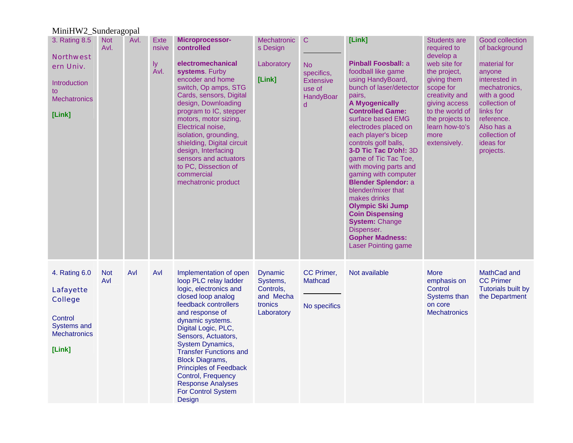| MiniHW2_Sunderagopal                                                                                    |                    |      |                                    |                                                                                                                                                                                                                                                                                                                                                                                                                              |                                                                               |                                                                              |                                                                                                                                                                                                                                                                                                                                                                                                                                                                                                                                                                                                |                                                                                                                                                                                                                         |                                                                                                                                                                                                                  |
|---------------------------------------------------------------------------------------------------------|--------------------|------|------------------------------------|------------------------------------------------------------------------------------------------------------------------------------------------------------------------------------------------------------------------------------------------------------------------------------------------------------------------------------------------------------------------------------------------------------------------------|-------------------------------------------------------------------------------|------------------------------------------------------------------------------|------------------------------------------------------------------------------------------------------------------------------------------------------------------------------------------------------------------------------------------------------------------------------------------------------------------------------------------------------------------------------------------------------------------------------------------------------------------------------------------------------------------------------------------------------------------------------------------------|-------------------------------------------------------------------------------------------------------------------------------------------------------------------------------------------------------------------------|------------------------------------------------------------------------------------------------------------------------------------------------------------------------------------------------------------------|
| 3. Rating 8.5<br><b>Northwest</b><br>ern Univ.<br>Introduction<br>to<br><b>Mechatronics</b><br>[Link]   | <b>Not</b><br>Avl. | Avl. | <b>Exte</b><br>nsive<br>ly<br>Avl. | Microprocessor-<br>controlled<br>electromechanical<br>systems. Furby<br>encoder and home<br>switch, Op amps, STG<br>Cards, sensors, Digital<br>design, Downloading<br>program to IC, stepper<br>motors, motor sizing,<br>Electrical noise,<br>isolation, grounding,<br>shielding, Digital circuit<br>design, Interfacing<br>sensors and actuators<br>to PC, Dissection of<br>commercial<br>mechatronic product               | <b>Mechatronic</b><br>s Design<br>Laboratory<br>[Link]                        | C<br><b>No</b><br>specifics,<br><b>Extensive</b><br>use of<br>HandyBoar<br>d | [Link]<br><b>Pinball Foosball: a</b><br>foodball like game<br>using HandyBoard,<br>bunch of laser/detector<br>pairs,<br><b>A Myogenically</b><br><b>Controlled Game:</b><br>surface based EMG<br>electrodes placed on<br>each player's bicep<br>controls golf balls,<br>3-D Tic Tac D'oh!: 3D<br>game of Tic Tac Toe,<br>with moving parts and<br>gaming with computer<br><b>Blender Splendor: a</b><br>blender/mixer that<br>makes drinks<br><b>Olympic Ski Jump</b><br><b>Coin Dispensing</b><br><b>System: Change</b><br>Dispenser.<br><b>Gopher Madness:</b><br><b>Laser Pointing game</b> | Students are<br>required to<br>develop a<br>web site for<br>the project,<br>giving them<br>scope for<br>creativity and<br>giving access<br>to the world of<br>the projects to<br>learn how-to's<br>more<br>extensively. | Good collection<br>of background<br>material for<br>anyone<br>interested in<br>mechatronics,<br>with a good<br>collection of<br>links for<br>reference.<br>Also has a<br>collection of<br>ideas for<br>projects. |
| 4. Rating 6.0<br>Lafayette<br>College<br>Control<br><b>Systems and</b><br><b>Mechatronics</b><br>[Link] | <b>Not</b><br>Avl  | Avl  | Avl                                | Implementation of open<br>loop PLC relay ladder<br>logic, electronics and<br>closed loop analog<br>feedback controllers<br>and response of<br>dynamic systems.<br>Digital Logic, PLC,<br>Sensors, Actuators,<br><b>System Dynamics,</b><br><b>Transfer Functions and</b><br><b>Block Diagrams,</b><br><b>Principles of Feedback</b><br>Control, Frequency<br><b>Response Analyses</b><br><b>For Control System</b><br>Design | <b>Dynamic</b><br>Systems,<br>Controls,<br>and Mecha<br>tronics<br>Laboratory | CC Primer,<br><b>Mathcad</b><br>No specifics                                 | Not available                                                                                                                                                                                                                                                                                                                                                                                                                                                                                                                                                                                  | <b>More</b><br>emphasis on<br>Control<br>Systems than<br>on core<br><b>Mechatronics</b>                                                                                                                                 | MathCad and<br><b>CC Primer</b><br>Tutorials built by<br>the Department                                                                                                                                          |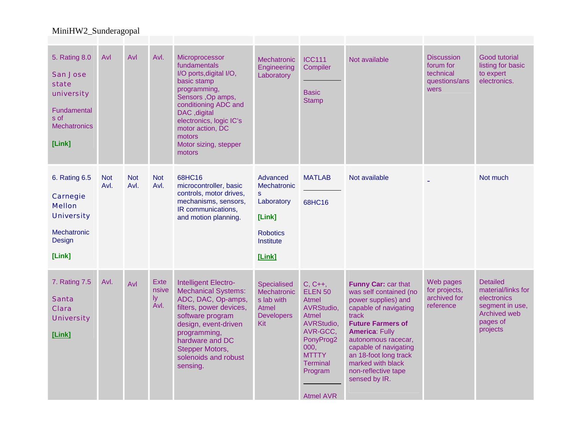### MiniHW2\_Sunderagopal

| 5. Rating 8.0<br>San Jose<br>state<br>university<br>Fundamental<br>s of<br><b>Mechatronics</b><br>[Link] | Avl                | Avl                | Avl.                        | Microprocessor<br>fundamentals<br>I/O ports, digital I/O,<br>basic stamp<br>programming,<br>Sensors , Op amps,<br>conditioning ADC and<br>DAC , digital<br>electronics, logic IC's<br>motor action, DC<br>motors<br>Motor sizing, stepper<br>motors | <b>Mechatronic</b><br>Engineering<br>Laboratory                                                | <b>ICC111</b><br>Compiler<br><b>Basic</b><br><b>Stamp</b>                                                                                                                           | Not available                                                                                                                                                                                                                                                                                     | <b>Discussion</b><br>forum for<br>technical<br>questions/ans<br>wers | <b>Good tutorial</b><br>listing for basic<br>to expert<br>electronics.                                                 |
|----------------------------------------------------------------------------------------------------------|--------------------|--------------------|-----------------------------|-----------------------------------------------------------------------------------------------------------------------------------------------------------------------------------------------------------------------------------------------------|------------------------------------------------------------------------------------------------|-------------------------------------------------------------------------------------------------------------------------------------------------------------------------------------|---------------------------------------------------------------------------------------------------------------------------------------------------------------------------------------------------------------------------------------------------------------------------------------------------|----------------------------------------------------------------------|------------------------------------------------------------------------------------------------------------------------|
| 6. Rating 6.5<br>Carnegie<br>Mellon<br>University<br>Mechatronic<br>Design<br>[Link]                     | <b>Not</b><br>Avl. | <b>Not</b><br>Avl. | <b>Not</b><br>Avl.          | 68HC16<br>microcontroller, basic<br>controls, motor drives,<br>mechanisms, sensors,<br>IR communications,<br>and motion planning.                                                                                                                   | Advanced<br>Mechatronic<br>S<br>Laboratory<br>[Link]<br><b>Robotics</b><br>Institute<br>[Link] | <b>MATLAB</b><br>68HC16                                                                                                                                                             | Not available                                                                                                                                                                                                                                                                                     |                                                                      | Not much                                                                                                               |
| 7. Rating 7.5<br>Santa<br>Clara<br>University<br>[Link]                                                  | Avl.               | Avl                | Exte<br>nsive<br>ly<br>Avl. | Intelligent Electro-<br><b>Mechanical Systems:</b><br>ADC, DAC, Op-amps,<br>filters, power devices,<br>software program<br>design, event-driven<br>programming,<br>hardware and DC<br>Stepper Motors,<br>solenoids and robust<br>sensing.           | Specialised<br>Mechatronic<br>s lab with<br><b>Atmel</b><br><b>Developers</b><br>Kit           | $C, C++,$<br><b>ELEN 50</b><br><b>Atmel</b><br>AVRStudio,<br>Atmel<br>AVRStudio.<br>AVR-GCC,<br>PonyProg2<br>000,<br><b>MTTTY</b><br><b>Terminal</b><br>Program<br><b>Atmel AVR</b> | Funny Car: car that<br>was self contained (no<br>power supplies) and<br>capable of navigating<br>track<br><b>Future Farmers of</b><br><b>America: Fully</b><br>autonomous racecar,<br>capable of navigating<br>an 18-foot long track<br>marked with black<br>non-reflective tape<br>sensed by IR. | Web pages<br>for projects,<br>archived for<br>reference              | <b>Detailed</b><br>material/links for<br>electronics<br>segment in use,<br><b>Archived web</b><br>pages of<br>projects |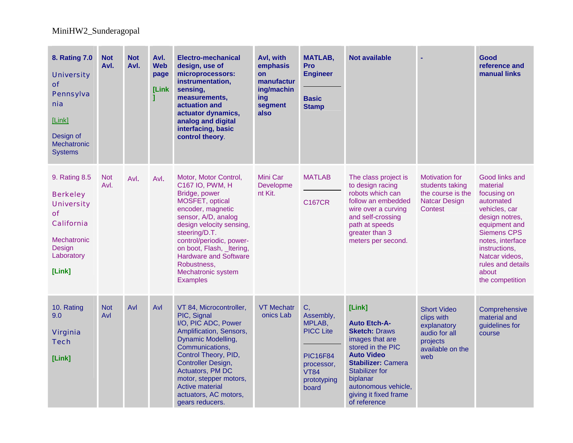### MiniHW2\_Sunderagopal

| <b>8. Rating 7.0</b><br>University<br><b>of</b><br>Pennsylva<br>nia<br>[Link]<br>Design of<br>Mechatronic<br><b>Systems</b> | <b>Not</b><br>Avl. | <b>Not</b><br>Avl. | Avl.<br><b>Web</b><br>page<br>[Link] | Electro-mechanical<br>design, use of<br>microprocessors:<br>instrumentation,<br>sensing,<br>measurements,<br>actuation and<br>actuator dynamics,<br>analog and digital<br>interfacing, basic<br>control theory.                                                                                     | Avl, with<br>emphasis<br><b>on</b><br>manufactur<br>ing/machin<br>ing<br>segment<br>also | <b>MATLAB,</b><br><b>Pro</b><br><b>Engineer</b><br><b>Basic</b><br><b>Stamp</b>                                       | <b>Not available</b>                                                                                                                                                                                                                                 |                                                                                                         | Good<br>reference and<br>manual links                                                                                                                                                                      |
|-----------------------------------------------------------------------------------------------------------------------------|--------------------|--------------------|--------------------------------------|-----------------------------------------------------------------------------------------------------------------------------------------------------------------------------------------------------------------------------------------------------------------------------------------------------|------------------------------------------------------------------------------------------|-----------------------------------------------------------------------------------------------------------------------|------------------------------------------------------------------------------------------------------------------------------------------------------------------------------------------------------------------------------------------------------|---------------------------------------------------------------------------------------------------------|------------------------------------------------------------------------------------------------------------------------------------------------------------------------------------------------------------|
| 9. Rating 8.5                                                                                                               | <b>Not</b><br>Avl. | Avl.               | Avl.                                 | Motor, Motor Control,<br>C167 IO, PWM, H                                                                                                                                                                                                                                                            | Mini Car<br>Developme                                                                    | <b>MATLAB</b>                                                                                                         | The class project is<br>to design racing                                                                                                                                                                                                             | <b>Motivation for</b><br>students taking                                                                | Good links and<br>material                                                                                                                                                                                 |
| <b>Berkeley</b><br><b>University</b><br>$\overline{of}$<br>California<br>Mechatronic<br>Design<br>Laboratory<br>[Link]      |                    |                    |                                      | Bridge, power<br>MOSFET, optical<br>encoder, magnetic<br>sensor, A/D, analog<br>design velocity sensing,<br>steering/D.T.<br>control/periodic, power-<br>on boot, Flash, _Itering,<br><b>Hardware and Software</b><br>Robustness,<br>Mechatronic system<br><b>Examples</b>                          | nt Kit.                                                                                  | <b>C167CR</b>                                                                                                         | robots which can<br>follow an embedded<br>wire over a curving<br>and self-crossing<br>path at speeds<br>greater than 3<br>meters per second.                                                                                                         | the course is the<br><b>Natcar Design</b><br>Contest                                                    | focusing on<br>automated<br>vehicles, car<br>design notres,<br>equipment and<br><b>Siemens CPS</b><br>notes, interface<br>instructions,<br>Natcar videos,<br>rules and details<br>about<br>the competition |
| 10. Rating<br>9.0<br>Virginia<br>Tech<br>[Link]                                                                             | <b>Not</b><br>Avl  | Avl                | Avl                                  | VT 84, Microcontroller,<br>PIC, Signal<br>I/O, PIC ADC, Power<br>Amplification, Sensors,<br>Dynamic Modelling,<br>Communications,<br>Control Theory, PID,<br>Controller Design,<br>Actuators, PM DC<br>motor, stepper motors,<br><b>Active material</b><br>actuators, AC motors,<br>gears reducers. | <b>VT Mechatr</b><br>onics Lab                                                           | C,<br>Assembly,<br>MPLAB,<br><b>PICC Lite</b><br><b>PIC16F84</b><br>processor,<br><b>VT84</b><br>prototyping<br>board | [Link]<br><b>Auto Etch-A-</b><br><b>Sketch: Draws</b><br>images that are<br>stored in the PIC<br><b>Auto Video</b><br><b>Stabilizer: Camera</b><br><b>Stabilizer</b> for<br>biplanar<br>autonomous vehicle,<br>giving it fixed frame<br>of reference | <b>Short Video</b><br>clips with<br>explanatory<br>audio for all<br>projects<br>available on the<br>web | Comprehensive<br>material and<br>guidelines for<br>course                                                                                                                                                  |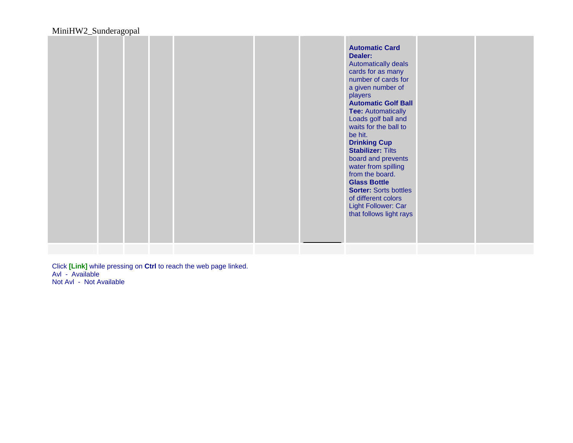|  |  |  |  |  |  | <b>Automatic Card</b><br>Dealer:<br>Automatically deals<br>cards for as many<br>number of cards for<br>a given number of<br>players<br><b>Automatic Golf Ball</b><br><b>Tee: Automatically</b><br>Loads golf ball and<br>waits for the ball to<br>be hit.<br><b>Drinking Cup</b><br><b>Stabilizer: Tilts</b><br>board and prevents<br>water from spilling<br>from the board.<br><b>Glass Bottle</b><br><b>Sorter: Sorts bottles</b><br>of different colors<br>Light Follower: Car<br>that follows light rays |  |  |
|--|--|--|--|--|--|--------------------------------------------------------------------------------------------------------------------------------------------------------------------------------------------------------------------------------------------------------------------------------------------------------------------------------------------------------------------------------------------------------------------------------------------------------------------------------------------------------------|--|--|
|--|--|--|--|--|--|--------------------------------------------------------------------------------------------------------------------------------------------------------------------------------------------------------------------------------------------------------------------------------------------------------------------------------------------------------------------------------------------------------------------------------------------------------------------------------------------------------------|--|--|

Click **[\[Link\]](http://mechatronics.me.vt.edu/)** while pressing on **Ctrl** to reach the web page linked. Avl - Available Not Avl - Not Available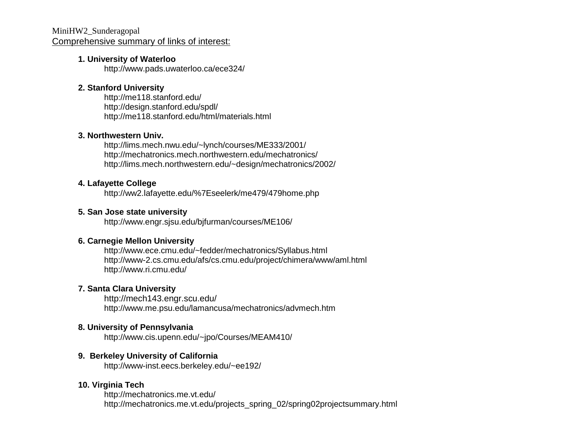#### MiniHW2\_Sunderagopal Comprehensive summary of links of interest:

#### **1. University of Waterloo**

<http://www.pads.uwaterloo.ca/ece324/>

### **2. Stanford University**

<http://me118.stanford.edu/> <http://design.stanford.edu/spdl/> [http://me118.stanford.edu/html/materials.htm](http://me118.stanford.edu/html/materials.html)l

### **3. Northwestern Univ.**

http://lims.mech.nwu.edu/~lynch/courses/ME333/2001/ <http://mechatronics.mech.northwestern.edu/mechatronics/> <http://lims.mech.northwestern.edu/~design/mechatronics/2002/>

#### **4. Lafayette College**

<http://ww2.lafayette.edu/%7Eseelerk/me479/479home.php>

### **5. San Jose state university**

http://www.engr.sjsu.edu/bjfurman/courses/ME106/

### **6. Carnegie Mellon University**

[http://www.ece.cmu.edu/~fedder/mechatronics/Syllabus.htm](http://www.ece.cmu.edu/~fedder/mechatronics/Syllabus.html)l <http://www-2.cs.cmu.edu/afs/cs.cmu.edu/project/chimera/www/aml.html> <http://www.ri.cmu.edu/>

### **7. Santa Clara University**

<http://mech143.engr.scu.edu/> <http://www.me.psu.edu/lamancusa/mechatronics/advmech.htm>

### **8. [University of Pennsylvania](http://www.upenn.edu/)**

http://www.cis.upenn.edu/~jpo/Courses/MEAM410/

### **9. Berkeley University of California**

<http://www-inst.eecs.berkeley.edu/~ee192/>

### **10. Virginia Tech**

<http://mechatronics.me.vt.edu/> [http://mechatronics.me.vt.edu/projects\\_spring\\_02/spring02projectsummary.html](http://mechatronics.me.vt.edu/projects_spring_02/spring02projectsummary.html)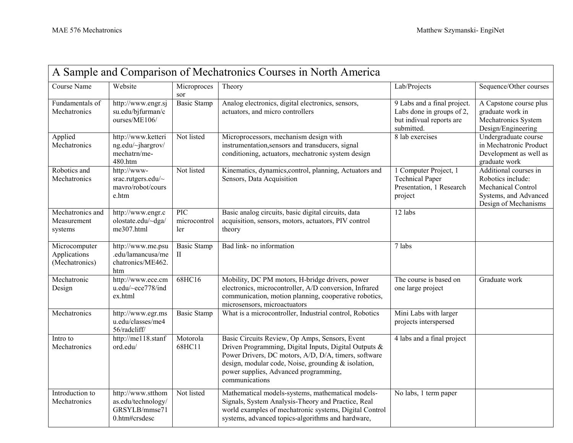|                                                 | A Sample and Comparison of Mechatronics Courses in North America          |                                         |                                                                                                                                                                                                                                                                                   |                                                                                                    |                                                                                                                   |  |  |  |  |
|-------------------------------------------------|---------------------------------------------------------------------------|-----------------------------------------|-----------------------------------------------------------------------------------------------------------------------------------------------------------------------------------------------------------------------------------------------------------------------------------|----------------------------------------------------------------------------------------------------|-------------------------------------------------------------------------------------------------------------------|--|--|--|--|
| Course Name                                     | Website                                                                   | Microproces<br>sor                      | Theory                                                                                                                                                                                                                                                                            | Lab/Projects                                                                                       | Sequence/Other courses                                                                                            |  |  |  |  |
| Fundamentals of<br>Mechatronics                 | http://www.engr.sj<br>su.edu/bjfurman/c<br>ourses/ME106/                  | <b>Basic Stamp</b>                      | Analog electronics, digital electronics, sensors,<br>actuators, and micro controllers                                                                                                                                                                                             | 9 Labs and a final project.<br>Labs done in groups of 2,<br>but indivual reports are<br>submitted. | A Capstone course plus<br>graduate work in<br>Mechatronics System<br>Design/Engineering                           |  |  |  |  |
| Applied<br>Mechatronics                         | http://www.ketteri<br>ng.edu/~jhargrov/<br>mechatrn/me-<br>480.htm        | Not listed                              | Microprocessors, mechanism design with<br>instrumentation, sensors and transducers, signal<br>conditioning, actuators, mechatronic system design                                                                                                                                  | 8 lab exercises                                                                                    | Undergraduate course<br>in Mechatronic Product<br>Development as well as<br>graduate work                         |  |  |  |  |
| Robotics and<br>Mechatronics                    | http://www-<br>srac.rutgers.edu/~<br>mavro/robot/cours<br>e.htm           | Not listed                              | Kinematics, dynamics, control, planning, Actuators and<br>Sensors, Data Acquisition                                                                                                                                                                                               | 1 Computer Project, 1<br><b>Technical Paper</b><br>Presentation, 1 Research<br>project             | Additional courses in<br>Robotics include:<br>Mechanical Control<br>Systems, and Advanced<br>Design of Mechanisms |  |  |  |  |
| Mechatronics and<br>Measurement<br>systems      | http://www.engr.c<br>olostate.edu/~dga/<br>me307.html                     | $\overline{PIC}$<br>microcontrol<br>ler | Basic analog circuits, basic digital circuits, data<br>acquisition, sensors, motors, actuators, PIV control<br>theory                                                                                                                                                             | 12 labs                                                                                            |                                                                                                                   |  |  |  |  |
| Microcomputer<br>Applications<br>(Mechatronics) | http://www.me.psu<br>.edu/lamancusa/me<br>chatronics/ME462.<br>htm        | <b>Basic Stamp</b><br>П                 | Bad link- no information                                                                                                                                                                                                                                                          | 7 labs                                                                                             |                                                                                                                   |  |  |  |  |
| Mechatronic<br>Design                           | http://www.ece.cm<br>u.edu/~ece778/ind<br>ex.html                         | 68HC16                                  | Mobility, DC PM motors, H-bridge drivers, power<br>electronics, microcontroller, A/D conversion, Infrared<br>communication, motion planning, cooperative robotics,<br>microsensors, microactuators                                                                                | The course is based on<br>one large project                                                        | Graduate work                                                                                                     |  |  |  |  |
| Mechatronics                                    | http://www.egr.ms<br>u.edu/classes/me4<br>56/radcliff/                    | <b>Basic Stamp</b>                      | What is a microcontroller, Industrial control, Robotics                                                                                                                                                                                                                           | Mini Labs with larger<br>projects interspersed                                                     |                                                                                                                   |  |  |  |  |
| Intro to<br>Mechatronics                        | http://me118.stanf<br>ord.edu/                                            | Motorola<br>68HC11                      | Basic Circuits Review, Op Amps, Sensors, Event<br>Driven Programming, Digital Inputs, Digital Outputs &<br>Power Drivers, DC motors, A/D, D/A, timers, software<br>design, modular code, Noise, grounding & isolation,<br>power supplies, Advanced programming,<br>communications | 4 labs and a final project                                                                         |                                                                                                                   |  |  |  |  |
| Introduction to<br>Mechatronics                 | http://www.stthom<br>as.edu/technology/<br>GRSYLB/mmse71<br>0.htm#crsdesc | Not listed                              | Mathematical models-systems, mathematical models-<br>Signals, System Analysis-Theory and Practice, Real<br>world examples of mechatronic systems, Digital Control<br>systems, advanced topics-algorithms and hardware,                                                            | No labs, 1 term paper                                                                              |                                                                                                                   |  |  |  |  |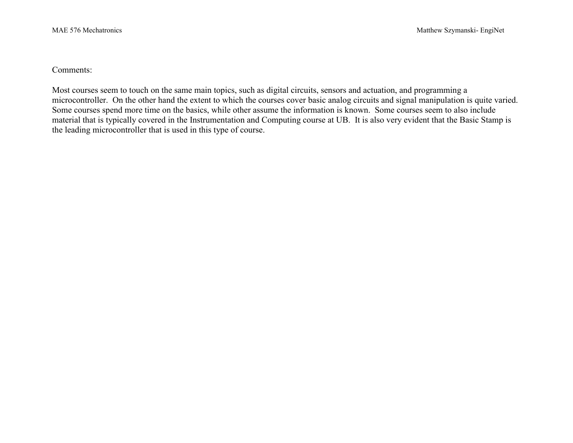Comments:

Most courses seem to touch on the same main topics, such as digital circuits, sensors and actuation, and programming a microcontroller. On the other hand the extent to which the courses cover basic analog circuits and signal manipulation is quite varied. Some courses spend more time on the basics, while other assume the information is known. Some courses seem to also include material that is typically covered in the Instrumentation and Computing course at UB. It is also very evident that the Basic Stamp is the leading microcontroller that is used in this type of course.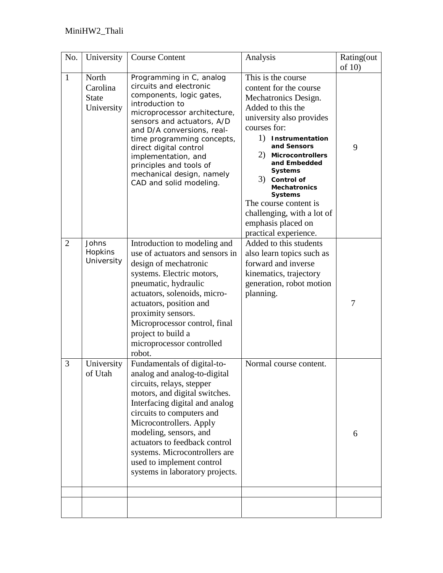| No.            | University                                      | <b>Course Content</b>                                                                                                                                                                                                                                                                                                                                                           | Analysis                                                                                                                                                                                                                                                                                                                                                                       | Rating(out |
|----------------|-------------------------------------------------|---------------------------------------------------------------------------------------------------------------------------------------------------------------------------------------------------------------------------------------------------------------------------------------------------------------------------------------------------------------------------------|--------------------------------------------------------------------------------------------------------------------------------------------------------------------------------------------------------------------------------------------------------------------------------------------------------------------------------------------------------------------------------|------------|
|                |                                                 |                                                                                                                                                                                                                                                                                                                                                                                 |                                                                                                                                                                                                                                                                                                                                                                                | of $10$    |
| $\mathbf{1}$   | North<br>Carolina<br><b>State</b><br>University | Programming in C, analog<br>circuits and electronic<br>components, logic gates,<br>introduction to<br>microprocessor architecture,<br>sensors and actuators, A/D<br>and D/A conversions, real-<br>time programming concepts,<br>direct digital control<br>implementation, and<br>principles and tools of<br>mechanical design, namely<br>CAD and solid modeling.                | This is the course<br>content for the course<br>Mechatronics Design.<br>Added to this the<br>university also provides<br>courses for:<br>1) Instrumentation<br>and Sensors<br>2) Microcontrollers<br>and Embedded<br>Systems<br>3) Control of<br>Mechatronics<br>Systems<br>The course content is<br>challenging, with a lot of<br>emphasis placed on<br>practical experience. | 9          |
| $\overline{2}$ | Johns<br>Hopkins<br>University                  | Introduction to modeling and<br>use of actuators and sensors in<br>design of mechatronic<br>systems. Electric motors,<br>pneumatic, hydraulic<br>actuators, solenoids, micro-<br>actuators, position and<br>proximity sensors.<br>Microprocessor control, final<br>project to build a<br>microprocessor controlled<br>robot.                                                    | Added to this students<br>also learn topics such as<br>forward and inverse<br>kinematics, trajectory<br>generation, robot motion<br>planning.                                                                                                                                                                                                                                  | 7          |
| 3              | University<br>of Utah                           | Fundamentals of digital-to-<br>analog and analog-to-digital<br>circuits, relays, stepper<br>motors, and digital switches.<br>Interfacing digital and analog<br>circuits to computers and<br>Microcontrollers. Apply<br>modeling, sensors, and<br>actuators to feedback control<br>systems. Microcontrollers are<br>used to implement control<br>systems in laboratory projects. | Normal course content.                                                                                                                                                                                                                                                                                                                                                         | 6          |
|                |                                                 |                                                                                                                                                                                                                                                                                                                                                                                 |                                                                                                                                                                                                                                                                                                                                                                                |            |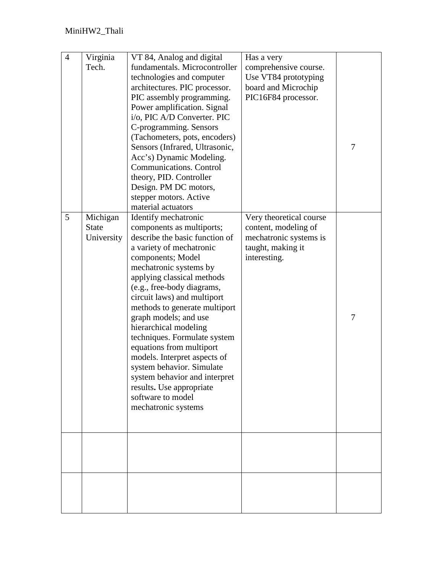| $\overline{4}$ | Virginia     | VT 84, Analog and digital      | Has a very              |   |
|----------------|--------------|--------------------------------|-------------------------|---|
|                | Tech.        | fundamentals. Microcontroller  | comprehensive course.   |   |
|                |              | technologies and computer      | Use VT84 prototyping    |   |
|                |              | architectures. PIC processor.  | board and Microchip     |   |
|                |              | PIC assembly programming.      |                         |   |
|                |              |                                | PIC16F84 processor.     |   |
|                |              | Power amplification. Signal    |                         |   |
|                |              | i/o, PIC A/D Converter. PIC    |                         |   |
|                |              | C-programming. Sensors         |                         |   |
|                |              | (Tachometers, pots, encoders)  |                         |   |
|                |              | Sensors (Infrared, Ultrasonic, |                         | 7 |
|                |              | Acc's) Dynamic Modeling.       |                         |   |
|                |              | <b>Communications. Control</b> |                         |   |
|                |              | theory, PID. Controller        |                         |   |
|                |              | Design. PM DC motors,          |                         |   |
|                |              | stepper motors. Active         |                         |   |
|                |              | material actuators             |                         |   |
| 5              | Michigan     | Identify mechatronic           | Very theoretical course |   |
|                | <b>State</b> | components as multiports;      | content, modeling of    |   |
|                | University   | describe the basic function of |                         |   |
|                |              |                                | mechatronic systems is  |   |
|                |              | a variety of mechatronic       | taught, making it       |   |
|                |              | components; Model              | interesting.            |   |
|                |              | mechatronic systems by         |                         |   |
|                |              | applying classical methods     |                         |   |
|                |              | (e.g., free-body diagrams,     |                         |   |
|                |              | circuit laws) and multiport    |                         |   |
|                |              | methods to generate multiport  |                         |   |
|                |              | graph models; and use          |                         | 7 |
|                |              | hierarchical modeling          |                         |   |
|                |              | techniques. Formulate system   |                         |   |
|                |              | equations from multiport       |                         |   |
|                |              | models. Interpret aspects of   |                         |   |
|                |              | system behavior. Simulate      |                         |   |
|                |              | system behavior and interpret  |                         |   |
|                |              | results. Use appropriate       |                         |   |
|                |              | software to model              |                         |   |
|                |              |                                |                         |   |
|                |              | mechatronic systems            |                         |   |
|                |              |                                |                         |   |
|                |              |                                |                         |   |
|                |              |                                |                         |   |
|                |              |                                |                         |   |
|                |              |                                |                         |   |
|                |              |                                |                         |   |
|                |              |                                |                         |   |
|                |              |                                |                         |   |
|                |              |                                |                         |   |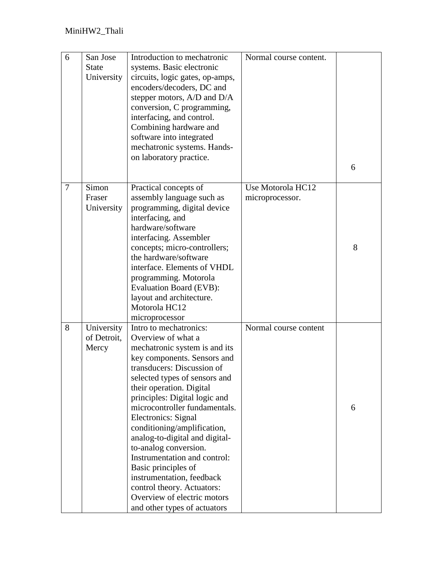| 6              | San Jose<br><b>State</b><br>University | Introduction to mechatronic<br>systems. Basic electronic<br>circuits, logic gates, op-amps,<br>encoders/decoders, DC and<br>stepper motors, A/D and D/A<br>conversion, C programming,<br>interfacing, and control.<br>Combining hardware and<br>software into integrated<br>mechatronic systems. Hands-<br>on laboratory practice.                                                                                                                                                                                                                                          | Normal course content.               | 6 |
|----------------|----------------------------------------|-----------------------------------------------------------------------------------------------------------------------------------------------------------------------------------------------------------------------------------------------------------------------------------------------------------------------------------------------------------------------------------------------------------------------------------------------------------------------------------------------------------------------------------------------------------------------------|--------------------------------------|---|
| $\overline{7}$ | Simon<br>Fraser<br>University          | Practical concepts of<br>assembly language such as<br>programming, digital device<br>interfacing, and<br>hardware/software<br>interfacing. Assembler<br>concepts; micro-controllers;<br>the hardware/software<br>interface. Elements of VHDL<br>programming. Motorola<br>Evaluation Board (EVB):<br>layout and architecture.<br>Motorola HC12<br>microprocessor                                                                                                                                                                                                             | Use Motorola HC12<br>microprocessor. | 8 |
| 8              | University<br>of Detroit,<br>Mercy     | Intro to mechatronics:<br>Overview of what a<br>mechatronic system is and its<br>key components. Sensors and<br>transducers: Discussion of<br>selected types of sensors and<br>their operation. Digital<br>principles: Digital logic and<br>microcontroller fundamentals.<br>Electronics: Signal<br>conditioning/amplification,<br>analog-to-digital and digital-<br>to-analog conversion.<br>Instrumentation and control:<br>Basic principles of<br>instrumentation, feedback<br>control theory. Actuators:<br>Overview of electric motors<br>and other types of actuators | Normal course content                | 6 |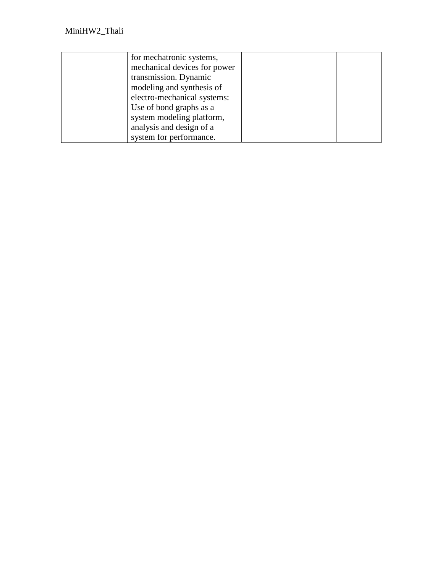| for mechatronic systems,     |  |
|------------------------------|--|
| mechanical devices for power |  |
| transmission. Dynamic        |  |
| modeling and synthesis of    |  |
| electro-mechanical systems:  |  |
| Use of bond graphs as a      |  |
| system modeling platform,    |  |
| analysis and design of a     |  |
| system for performance.      |  |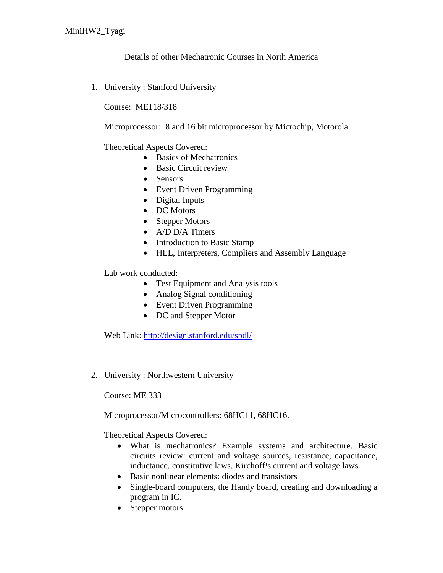### Details of other Mechatronic Courses in North America

1. University : Stanford University

Course: ME118/318

Microprocessor: 8 and 16 bit microprocessor by Microchip, Motorola.

Theoretical Aspects Covered:

- Basics of Mechatronics
- Basic Circuit review
- Sensors
- Event Driven Programming
- Digital Inputs
- DC Motors
- Stepper Motors
- A/D D/A Timers
- Introduction to Basic Stamp
- HLL, Interpreters, Compliers and Assembly Language

Lab work conducted:

- Test Equipment and Analysis tools
- Analog Signal conditioning
- Event Driven Programming
- DC and Stepper Motor

Web Link: <http://design.stanford.edu/spdl/>

2. University : Northwestern University

Course: ME 333

Microprocessor/Microcontrollers: 68HC11, 68HC16.

Theoretical Aspects Covered:

- What is mechatronics? Example systems and architecture. Basic circuits review: current and voltage sources, resistance, capacitance, inductance, constitutive laws, Kirchoff<sup>1</sup>s current and voltage laws.
- Basic nonlinear elements: diodes and transistors
- $\bullet$  Single-board computers, the Handy board, creating and downloading a program in IC.
- Stepper motors.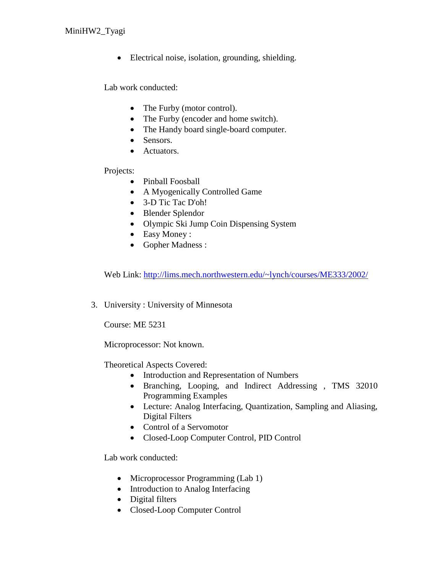- Electrical noise, isolation, grounding, shielding.

Lab work conducted:

- The Furby (motor control).
- The Furby (encoder and home switch).
- The Handy board single-board computer.
- Sensors.
- Actuators.

### Projects:

- Pinball Foosball
- A Myogenically Controlled Game
- [3-D Tic Tac D'oh!](http://www.wildcats.nwu.edu/lca/c33)
- Blender Splendor
- [Olympic Ski Jump Coin Dispensing System](http://flexbot.cs.nwu.edu/nick/Mech)
- [Easy Money](http://pubweb.nwu.edu/~dls902/Mechatronics/) :
- [Gopher Madness :](http://pubweb.nwu.edu/~dsh295/ga)

Web Link: <http://lims.mech.northwestern.edu/~lynch/courses/ME333/2002/>

3. University : University of Minnesota

Course: ME 5231

Microprocessor: Not known.

Theoretical Aspects Covered:

- Introduction and Representation of Numbers
- Branching, Looping, and Indirect Addressing , TMS 32010 Programming Examples
- Lecture: Analog Interfacing, Quantization, Sampling and Aliasing, Digital Filters
- Control of a Servomotor
- Closed-Loop Computer Control, PID Control

Lab work conducted:

- Microprocessor Programming (Lab 1)
- Introduction to Analog Interfacing
- Digital filters
- Closed-Loop Computer Control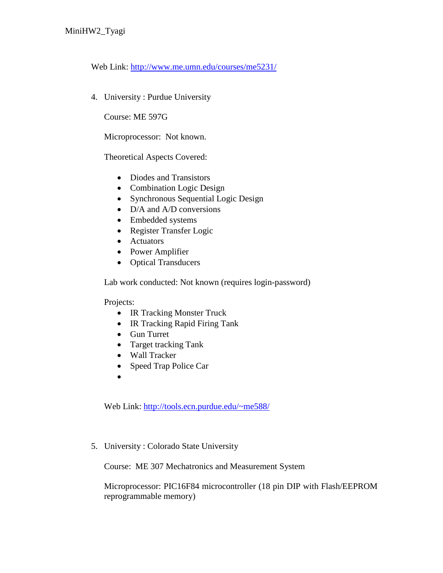Web Link: <http://www.me.umn.edu/courses/me5231/>

4. University : Purdue University

Course: ME 597G

Microprocessor: Not known.

Theoretical Aspects Covered:

- Diodes and Transistors
- Combination Logic Design
- Synchronous Sequential Logic Design
- D/A and A/D conversions
- Embedded systems
- Register Transfer Logic
- Actuators
- Power Amplifier
- Optical Transducers

Lab work conducted: Not known (requires login-password)

Projects:

- IR Tracking Monster Truck
- IR Tracking Rapid Firing Tank
- Gun Turret
- Target tracking Tank
- Wall Tracker
- Speed Trap Police Car
- -

Web Link: <http://tools.ecn.purdue.edu/~me588/>

5. University : Colorado State University

Course: ME 307 Mechatronics and Measurement System

Microprocessor: [PIC16F84 microcontroller](http://www.microchip.com/1010/pline/picmicro/category/digictrl/8kbytes/devices/16f84/index.htm) (18 pin DIP with Flash/EEPROM reprogrammable memory)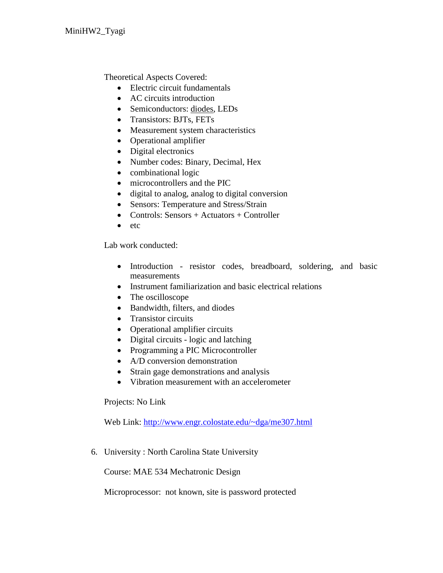Theoretical Aspects Covered:

- Electric circuit fundamentals
- AC circuits introduction
- Semiconductors: diodes, LEDs
- Transistors: BJTs, FETs
- Measurement system characteristics
- Operational amplifier
- Digital electronics
- $\bullet$ Number codes: Binary, Decimal, Hex
- $\bullet$ combinational logic
- microcontrollers and the PIC
- digital to analog, analog to digital conversion
- Sensors: Temperature and Stress/Strain
- Controls: Sensors + Actuators + Controller
- $\bullet$  etc

Lab work conducted:

- Introduction resistor codes, breadboard, soldering, and basic measurements
- Instrument familiarization and basic electrical relations
- The oscilloscope
- Bandwidth, filters, and diodes
- Transistor circuits
- Operational amplifier circuits
- Digital circuits logic and latching
- Programming a PIC Microcontroller
- A/D conversion demonstration
- Strain gage demonstrations and analysis
- Vibration measurement with an accelerometer

Projects: No Link

Web Link: <http://www.engr.colostate.edu/~dga/me307.html>

6. University : North Carolina State University

Course: MAE 534 Mechatronic Design

Microprocessor: not known, site is password protected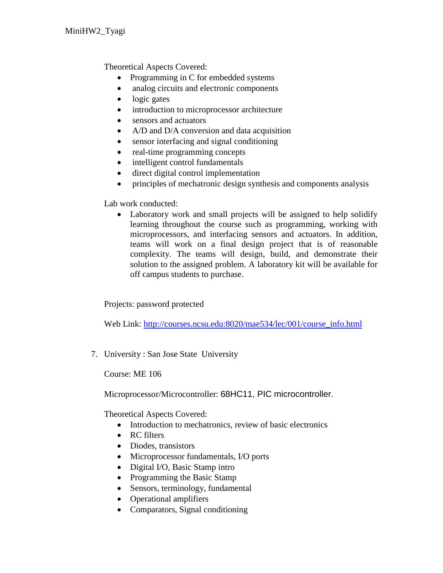Theoretical Aspects Covered:

- $\bullet$ Programming in C for embedded systems
- $\bullet$ analog circuits and electronic components
- $\bullet$ logic gates
- $\bullet$ introduction to microprocessor architecture
- $\bullet$ sensors and actuators
- $\bullet$ A/D and D/A conversion and data acquisition
- $\bullet$ sensor interfacing and signal conditioning
- $\bullet$ real-time programming concepts
- $\bullet$ intelligent control fundamentals
- $\bullet$ direct digital control implementation
- $\bullet$ principles of mechatronic design synthesis and components analysis

#### Lab work conducted:

• Laboratory work and small projects will be assigned to help solidify learning throughout the course such as programming, working with microprocessors, and interfacing sensors and actuators. In addition, teams will work on a final design project that is of reasonable complexity. The teams will design, build, and demonstrate their solution to the assigned problem. A laboratory kit will be available for off campus students to purchase.

Projects: password protected

Web Link: [http://courses.ncsu.edu:8020/mae534/lec/001/course\\_info.html](http://courses.ncsu.edu:8020/mae534/lec/001/course_info.html)

7. University : San Jose State University

Course: ME 106

Microprocessor/Microcontroller: 68HC11, PIC microcontroller.

Theoretical Aspects Covered:

- Introduction to mechatronics, review of basic electronics
- RC filters
- Diodes, transistors
- $\bullet$ Microprocessor fundamentals, I/O ports
- Digital I/O, Basic Stamp intro
- $\bullet$ Programming the Basic Stamp
- Sensors, terminology, fundamental
- Operational amplifiers
- Comparators, Signal conditioning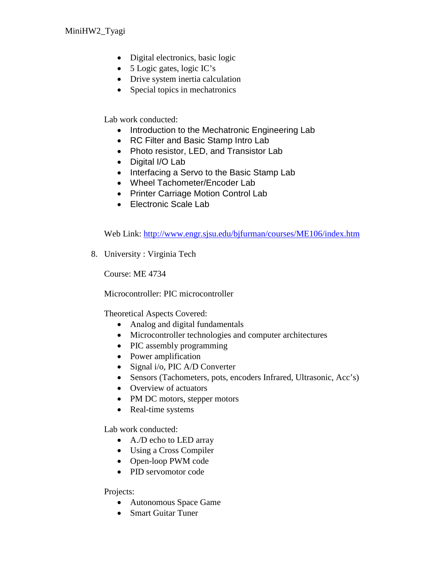- Digital electronics, basic logic
- 5 Logic gates, logic IC's
- Drive system inertia calculation
- Special topics in mechatronics

Lab work conducted:

- [Introduction to the Mechatronic Engineering Lab](http://www.engr.sjsu.edu/bjfurman/courses/ME106/ME106pdf/intro.pdf)
- [RC Filter and Basic Stamp Intro Lab](http://www.engr.sjsu.edu/bjfurman/courses/ME106/ME106pdf/RCfilterandStampF02.pdf)
- [Photo resistor, LED, and Transistor Lab](http://www.engr.sjsu.edu/bjfurman/courses/ME106/ME106pdf/photoresistorandstampF00.pdf)
- [Digital I/O Lab](http://www.engr.sjsu.edu/bjfurman/courses/ME106/ME106pdf/digital_IO_stamp.pdf)
- [Interfacing a Servo to the Basic Stamp Lab](http://www.engr.sjsu.edu/bjfurman/courses/ME106/ME106pdf/servolab.pdf)
- [Wheel Tachometer/Encoder Lab](http://www.engr.sjsu.edu/bjfurman/courses/ME106/ME106pdf/wheelencoder.pdf)
- [Printer Carriage Motion Control Lab](http://www.engr.sjsu.edu/bjfurman/courses/ME106/ME106pdf/printerwithstamp.pdf)
- [Electronic Scale Lab](http://www.engr.sjsu.edu/bjfurman/courses/ME106/ME106pdf/electronicscalewithstamp.pdf)

Web Link: <http://www.engr.sjsu.edu/bjfurman/courses/ME106/index.htm>

8. University : Virginia Tech

Course: ME 4734

Microcontroller: PIC microcontroller

Theoretical Aspects Covered:

- Analog and digital fundamentals
- Microcontroller technologies and computer architectures
- PIC assembly programming
- Power amplification
- Signal i/o, PIC A/D Converter
- Sensors (Tachometers, pots, encoders Infrared, Ultrasonic, Acc's)
- Overview of actuators
- PM DC motors, stepper motors
- Real-time systems

Lab work conducted:

- A./D echo to LED array
- Using a Cross Compiler
- Open-loop PWM code
- PID servomotor code

### Projects:

- [Autonomous Space Game](http://mechatronics.me.vt.edu/projects_fall_00/Project01/project01.html)
- Smart Guitar Tuner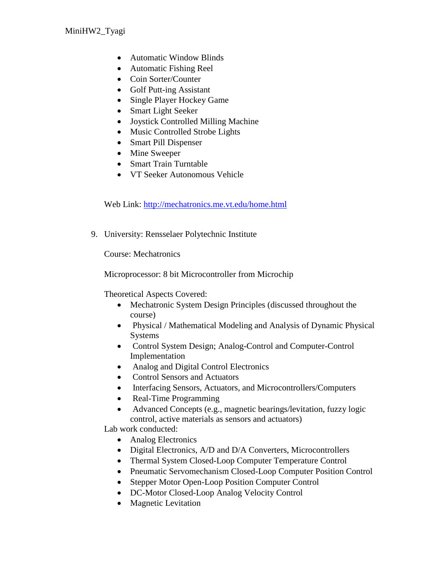- [Automatic Window Blinds](http://mechatronics.me.vt.edu/projects_fall_00/Project03/project03.html)
- Automatic Fishing Reel
- Coin Sorter/Counter
- Golf Putt-ing Assistant
- [Single Player Hockey Game](http://mechatronics.me.vt.edu/projects_fall_00/Project07/project07.html)
- [Smart Light Seeker](http://mechatronics.me.vt.edu/projects_fall_00/Project08/project08.html)
- $\bullet$ [Joystick Controlled Milling Machine](http://mechatronics.me.vt.edu/projects_fall_00/Project09/project09.html)
- $\bullet$ [Music Controlled Strobe Lights](http://mechatronics.me.vt.edu/projects_fall_00/Project10/project10.html)
- [Smart Pill Dispenser](http://mechatronics.me.vt.edu/projects_fall_00/Project11/project11.html)
- Mine Sweeper
- [Smart Train Turntable](http://mechatronics.me.vt.edu/projects_fall_00/Project13/project13.html)
- [VT Seeker Autonomous Vehicle](http://mechatronics.me.vt.edu/projects_fall_00/Project14/project14.html)

Web Link: <http://mechatronics.me.vt.edu/home.html>

9. University: Rensselaer Polytechnic Institute

Course: Mechatronics

Microprocessor: 8 bit Microcontroller from Microchip

Theoretical Aspects Covered:

- Mechatronic System Design Principles (discussed throughout the course)
- Physical / Mathematical Modeling and Analysis of Dynamic Physical Systems
- Control System Design; Analog-Control and Computer-Control Implementation
- $\bullet$ Analog and Digital Control Electronics
- $\bullet$ Control Sensors and Actuators
- $\bullet$ Interfacing Sensors, Actuators, and Microcontrollers/Computers
- $\bullet$ Real-Time Programming
- - Advanced Concepts (e.g., magnetic bearings/levitation, fuzzy logic control, active materials as sensors and actuators)

Lab work conducted:

- $\bullet$ Analog Electronics
- $\bullet$ Digital Electronics, A/D and D/A Converters, Microcontrollers
- $\bullet$ Thermal System Closed-Loop Computer Temperature Control
- $\bullet$ Pneumatic Servomechanism Closed-Loop Computer Position Control
- $\bullet$ Stepper Motor Open-Loop Position Computer Control
- DC-Motor Closed-Loop Analog Velocity Control
- Magnetic Levitation